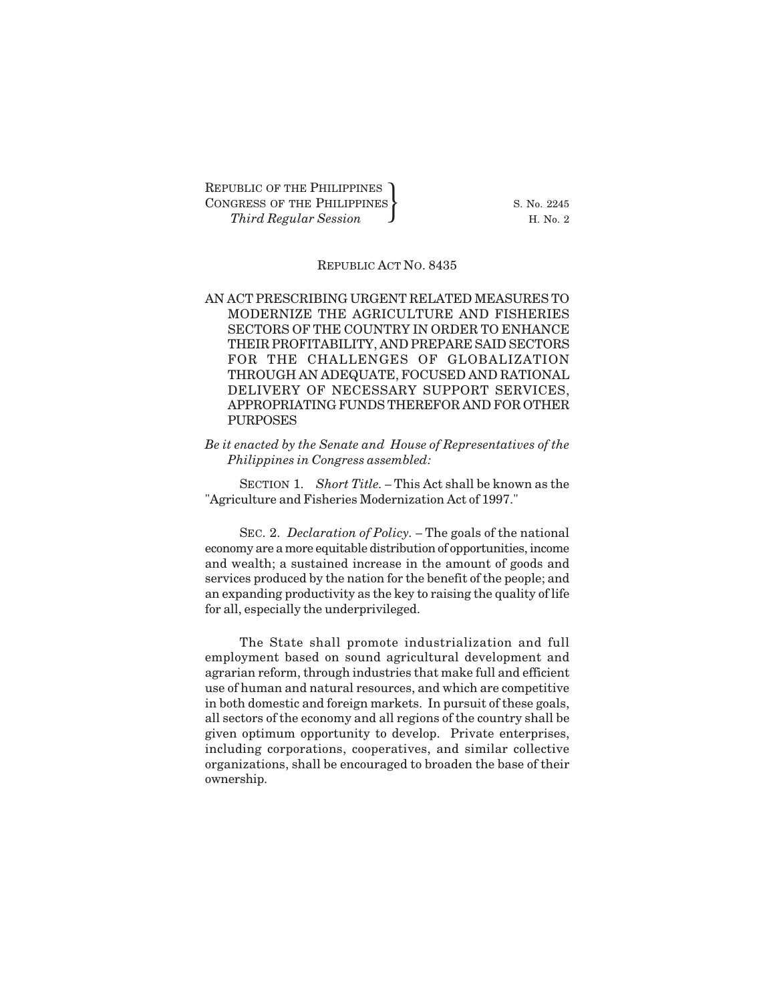REPUBLIC OF THE PHILIPPINES CONGRESS OF THE PHILIPPINES  $\{$  S. No. 2245 UBLIC OF THE PHILIPPINES<br>GRESS OF THE PHILIPPINES<br>*Third Regular Session* H. No. 2

#### REPUBLIC ACT NO. 8435

AN ACT PRESCRIBING URGENT RELATED MEASURES TO MODERNIZE THE AGRICULTURE AND FISHERIES SECTORS OF THE COUNTRY IN ORDER TO ENHANCE THEIR PROFITABILITY, AND PREPARE SAID SECTORS FOR THE CHALLENGES OF GLOBALIZATION THROUGH AN ADEQUATE, FOCUSED AND RATIONAL DELIVERY OF NECESSARY SUPPORT SERVICES, APPROPRIATING FUNDS THEREFOR AND FOR OTHER PURPOSES

*Be it enacted by the Senate and House of Representatives of the Philippines in Congress assembled:*

SECTION 1. *Short Title. –* This Act shall be known as the "Agriculture and Fisheries Modernization Act of 1997."

SEC. 2. *Declaration of Policy. –* The goals of the national economy are a more equitable distribution of opportunities, income and wealth; a sustained increase in the amount of goods and services produced by the nation for the benefit of the people; and an expanding productivity as the key to raising the quality of life for all, especially the underprivileged.

The State shall promote industrialization and full employment based on sound agricultural development and agrarian reform, through industries that make full and efficient use of human and natural resources, and which are competitive in both domestic and foreign markets. In pursuit of these goals, all sectors of the economy and all regions of the country shall be given optimum opportunity to develop. Private enterprises, including corporations, cooperatives, and similar collective organizations, shall be encouraged to broaden the base of their ownership.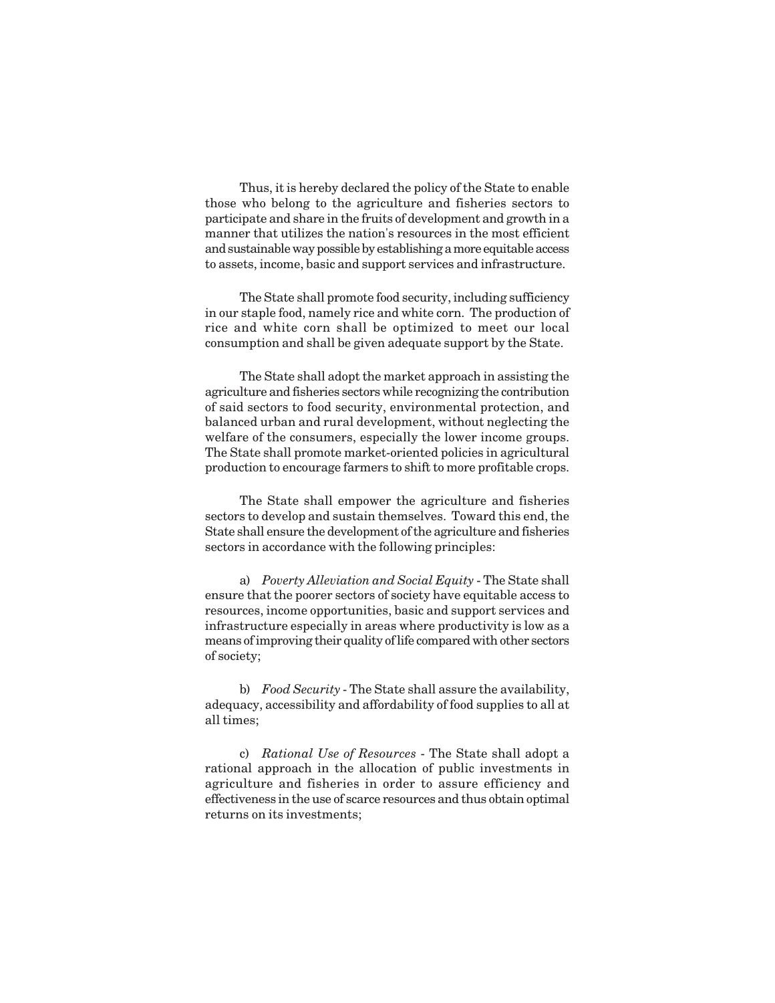Thus, it is hereby declared the policy of the State to enable those who belong to the agriculture and fisheries sectors to participate and share in the fruits of development and growth in a manner that utilizes the nation's resources in the most efficient and sustainable way possible by establishing a more equitable access to assets, income, basic and support services and infrastructure.

The State shall promote food security, including sufficiency in our staple food, namely rice and white corn. The production of rice and white corn shall be optimized to meet our local consumption and shall be given adequate support by the State.

The State shall adopt the market approach in assisting the agriculture and fisheries sectors while recognizing the contribution of said sectors to food security, environmental protection, and balanced urban and rural development, without neglecting the welfare of the consumers, especially the lower income groups. The State shall promote market-oriented policies in agricultural production to encourage farmers to shift to more profitable crops.

The State shall empower the agriculture and fisheries sectors to develop and sustain themselves. Toward this end, the State shall ensure the development of the agriculture and fisheries sectors in accordance with the following principles:

a) *Poverty Alleviation and Social Equity* - The State shall ensure that the poorer sectors of society have equitable access to resources, income opportunities, basic and support services and infrastructure especially in areas where productivity is low as a means of improving their quality of life compared with other sectors of society;

b) *Food Security* - The State shall assure the availability, adequacy, accessibility and affordability of food supplies to all at all times;

c) *Rational Use of Resources* - The State shall adopt a rational approach in the allocation of public investments in agriculture and fisheries in order to assure efficiency and effectiveness in the use of scarce resources and thus obtain optimal returns on its investments;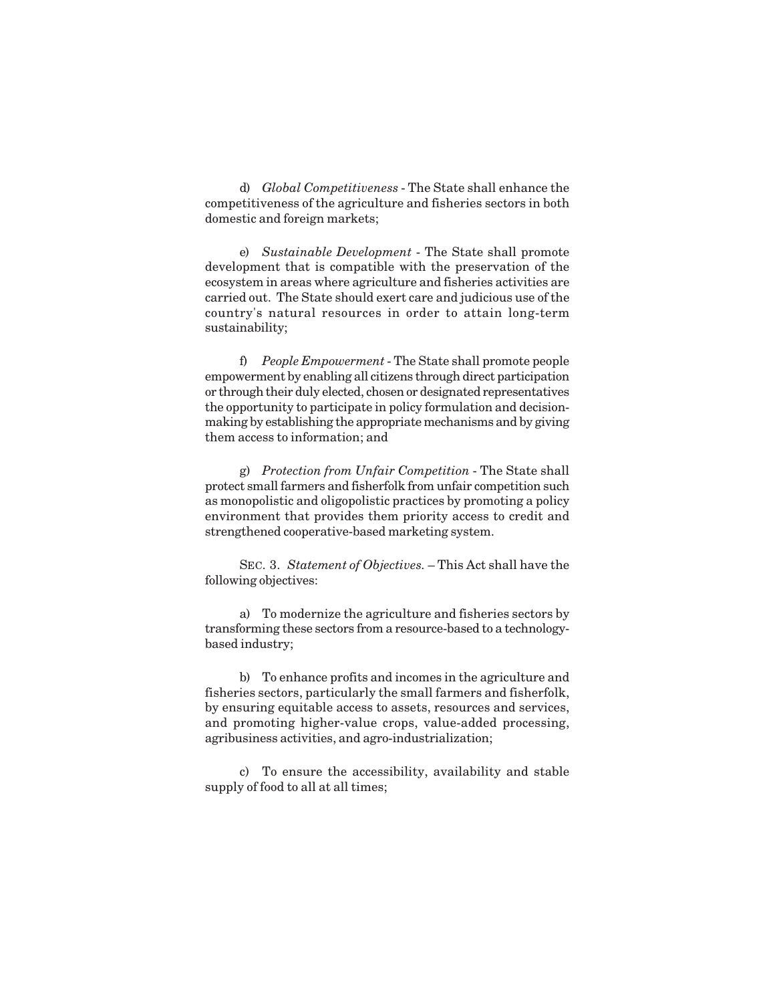d) *Global Competitiveness* - The State shall enhance the competitiveness of the agriculture and fisheries sectors in both domestic and foreign markets;

e) *Sustainable Development* - The State shall promote development that is compatible with the preservation of the ecosystem in areas where agriculture and fisheries activities are carried out. The State should exert care and judicious use of the country's natural resources in order to attain long-term sustainability;

f) *People Empowerment* - The State shall promote people empowerment by enabling all citizens through direct participation or through their duly elected, chosen or designated representatives the opportunity to participate in policy formulation and decisionmaking by establishing the appropriate mechanisms and by giving them access to information; and

g) *Protection from Unfair Competition* - The State shall protect small farmers and fisherfolk from unfair competition such as monopolistic and oligopolistic practices by promoting a policy environment that provides them priority access to credit and strengthened cooperative-based marketing system.

SEC. 3. *Statement of Objectives.* – This Act shall have the following objectives:

a) To modernize the agriculture and fisheries sectors by transforming these sectors from a resource-based to a technologybased industry;

b) To enhance profits and incomes in the agriculture and fisheries sectors, particularly the small farmers and fisherfolk, by ensuring equitable access to assets, resources and services, and promoting higher-value crops, value-added processing, agribusiness activities, and agro-industrialization;

c) To ensure the accessibility, availability and stable supply of food to all at all times;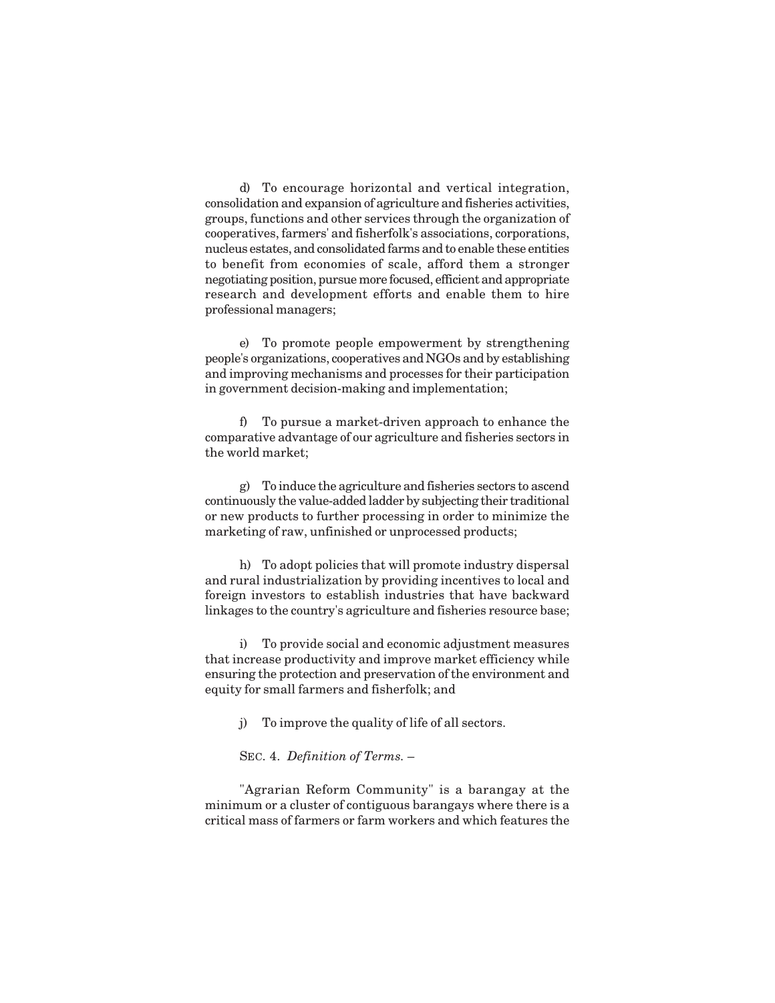d) To encourage horizontal and vertical integration, consolidation and expansion of agriculture and fisheries activities, groups, functions and other services through the organization of cooperatives, farmers' and fisherfolk's associations, corporations, nucleus estates, and consolidated farms and to enable these entities to benefit from economies of scale, afford them a stronger negotiating position, pursue more focused, efficient and appropriate research and development efforts and enable them to hire professional managers;

e) To promote people empowerment by strengthening people's organizations, cooperatives and NGOs and by establishing and improving mechanisms and processes for their participation in government decision-making and implementation;

f) To pursue a market-driven approach to enhance the comparative advantage of our agriculture and fisheries sectors in the world market;

g) To induce the agriculture and fisheries sectors to ascend continuously the value-added ladder by subjecting their traditional or new products to further processing in order to minimize the marketing of raw, unfinished or unprocessed products;

h) To adopt policies that will promote industry dispersal and rural industrialization by providing incentives to local and foreign investors to establish industries that have backward linkages to the country's agriculture and fisheries resource base;

i) To provide social and economic adjustment measures that increase productivity and improve market efficiency while ensuring the protection and preservation of the environment and equity for small farmers and fisherfolk; and

j) To improve the quality of life of all sectors.

SEC. 4. *Definition of Terms.* –

"Agrarian Reform Community" is a barangay at the minimum or a cluster of contiguous barangays where there is a critical mass of farmers or farm workers and which features the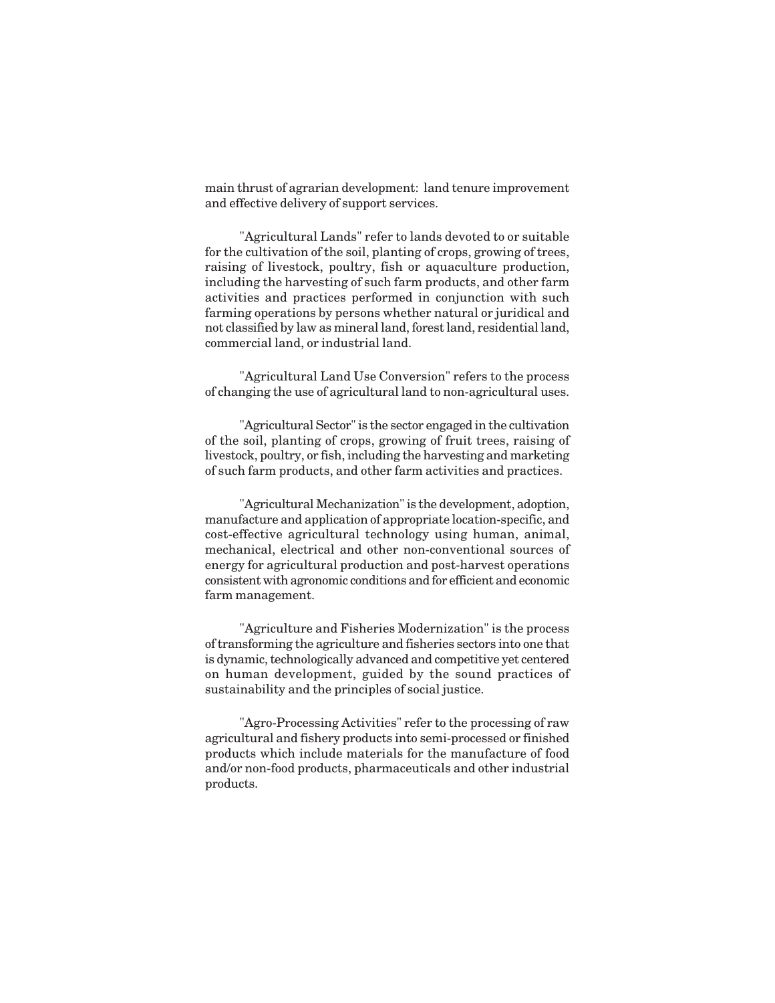main thrust of agrarian development: land tenure improvement and effective delivery of support services.

"Agricultural Lands" refer to lands devoted to or suitable for the cultivation of the soil, planting of crops, growing of trees, raising of livestock, poultry, fish or aquaculture production, including the harvesting of such farm products, and other farm activities and practices performed in conjunction with such farming operations by persons whether natural or juridical and not classified by law as mineral land, forest land, residential land, commercial land, or industrial land.

"Agricultural Land Use Conversion" refers to the process of changing the use of agricultural land to non-agricultural uses.

"Agricultural Sector" is the sector engaged in the cultivation of the soil, planting of crops, growing of fruit trees, raising of livestock, poultry, or fish, including the harvesting and marketing of such farm products, and other farm activities and practices.

"Agricultural Mechanization" is the development, adoption, manufacture and application of appropriate location-specific, and cost-effective agricultural technology using human, animal, mechanical, electrical and other non-conventional sources of energy for agricultural production and post-harvest operations consistent with agronomic conditions and for efficient and economic farm management.

"Agriculture and Fisheries Modernization" is the process of transforming the agriculture and fisheries sectors into one that is dynamic, technologically advanced and competitive yet centered on human development, guided by the sound practices of sustainability and the principles of social justice.

"Agro-Processing Activities" refer to the processing of raw agricultural and fishery products into semi-processed or finished products which include materials for the manufacture of food and/or non-food products, pharmaceuticals and other industrial products.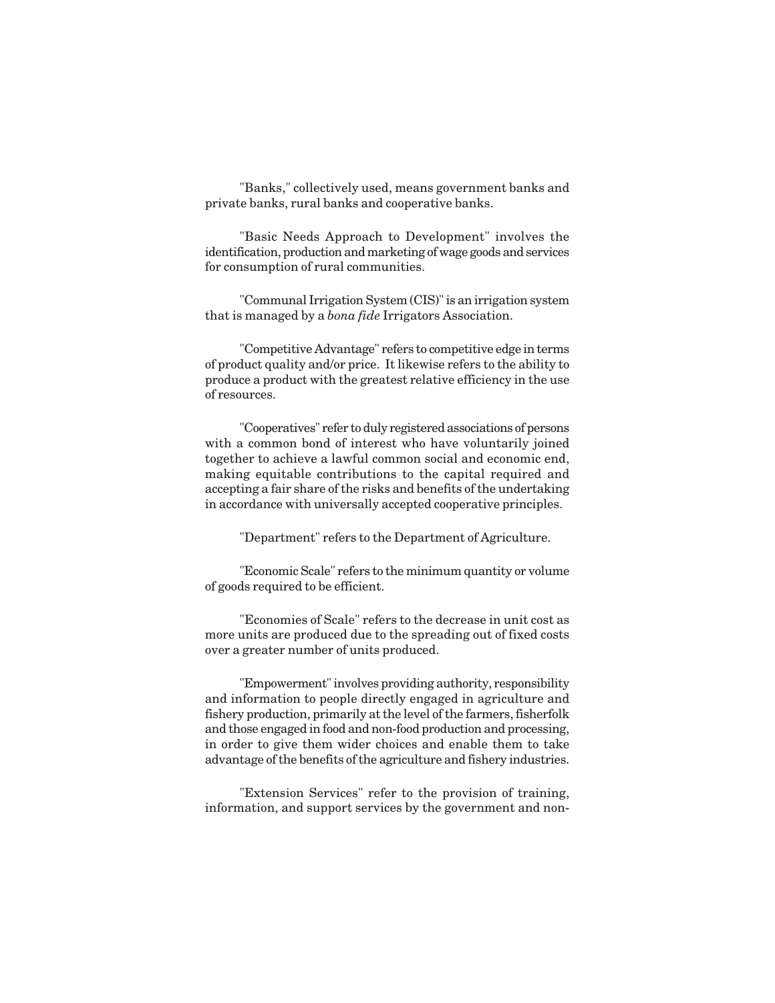"Banks," collectively used, means government banks and private banks, rural banks and cooperative banks.

"Basic Needs Approach to Development" involves the identification, production and marketing of wage goods and services for consumption of rural communities.

"Communal Irrigation System (CIS)" is an irrigation system that is managed by a *bona fide* Irrigators Association.

"Competitive Advantage" refers to competitive edge in terms of product quality and/or price. It likewise refers to the ability to produce a product with the greatest relative efficiency in the use of resources.

"Cooperatives" refer to duly registered associations of persons with a common bond of interest who have voluntarily joined together to achieve a lawful common social and economic end, making equitable contributions to the capital required and accepting a fair share of the risks and benefits of the undertaking in accordance with universally accepted cooperative principles.

"Department" refers to the Department of Agriculture.

"Economic Scale" refers to the minimum quantity or volume of goods required to be efficient.

"Economies of Scale" refers to the decrease in unit cost as more units are produced due to the spreading out of fixed costs over a greater number of units produced.

"Empowerment" involves providing authority, responsibility and information to people directly engaged in agriculture and fishery production, primarily at the level of the farmers, fisherfolk and those engaged in food and non-food production and processing, in order to give them wider choices and enable them to take advantage of the benefits of the agriculture and fishery industries.

"Extension Services" refer to the provision of training, information, and support services by the government and non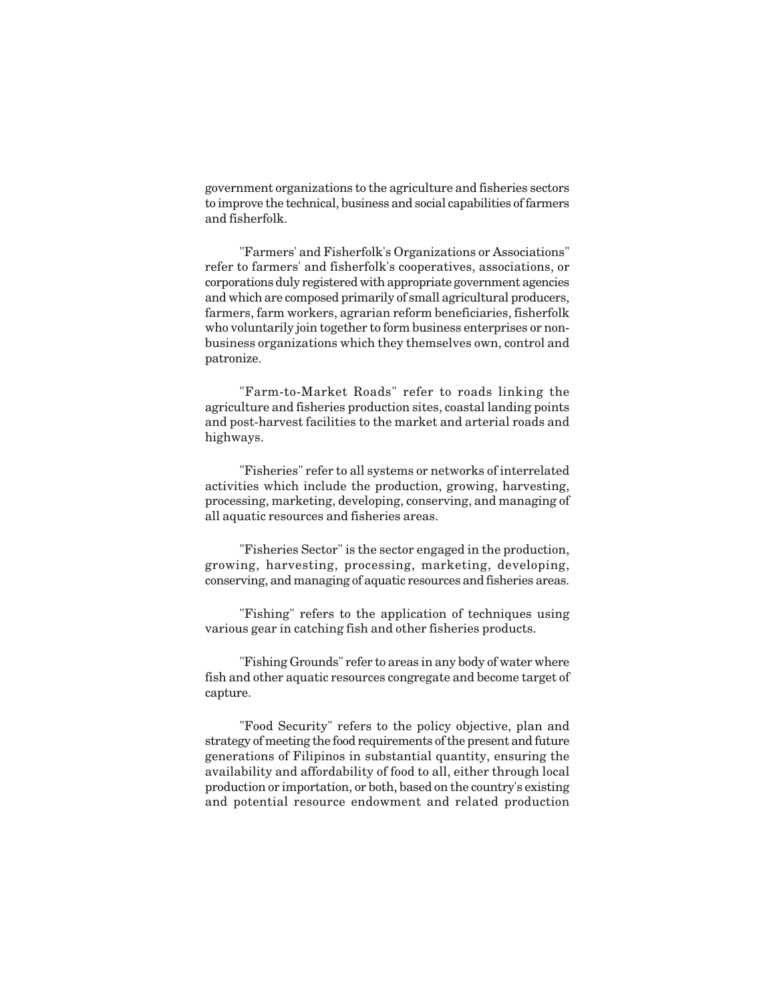government organizations to the agriculture and fisheries sectors to improve the technical, business and social capabilities of farmers and fisherfolk.

"Farmers' and Fisherfolk's Organizations or Associations" refer to farmers' and fisherfolk's cooperatives, associations, or corporations duly registered with appropriate government agencies and which are composed primarily of small agricultural producers, farmers, farm workers, agrarian reform beneficiaries, fisherfolk who voluntarily join together to form business enterprises or nonbusiness organizations which they themselves own, control and patronize.

"Farm-to-Market Roads" refer to roads linking the agriculture and fisheries production sites, coastal landing points and post-harvest facilities to the market and arterial roads and highways.

"Fisheries" refer to all systems or networks of interrelated activities which include the production, growing, harvesting, processing, marketing, developing, conserving, and managing of all aquatic resources and fisheries areas.

"Fisheries Sector" is the sector engaged in the production, growing, harvesting, processing, marketing, developing, conserving, and managing of aquatic resources and fisheries areas.

"Fishing" refers to the application of techniques using various gear in catching fish and other fisheries products.

"Fishing Grounds" refer to areas in any body of water where fish and other aquatic resources congregate and become target of capture.

"Food Security" refers to the policy objective, plan and strategy of meeting the food requirements of the present and future generations of Filipinos in substantial quantity, ensuring the availability and affordability of food to all, either through local production or importation, or both, based on the country's existing and potential resource endowment and related production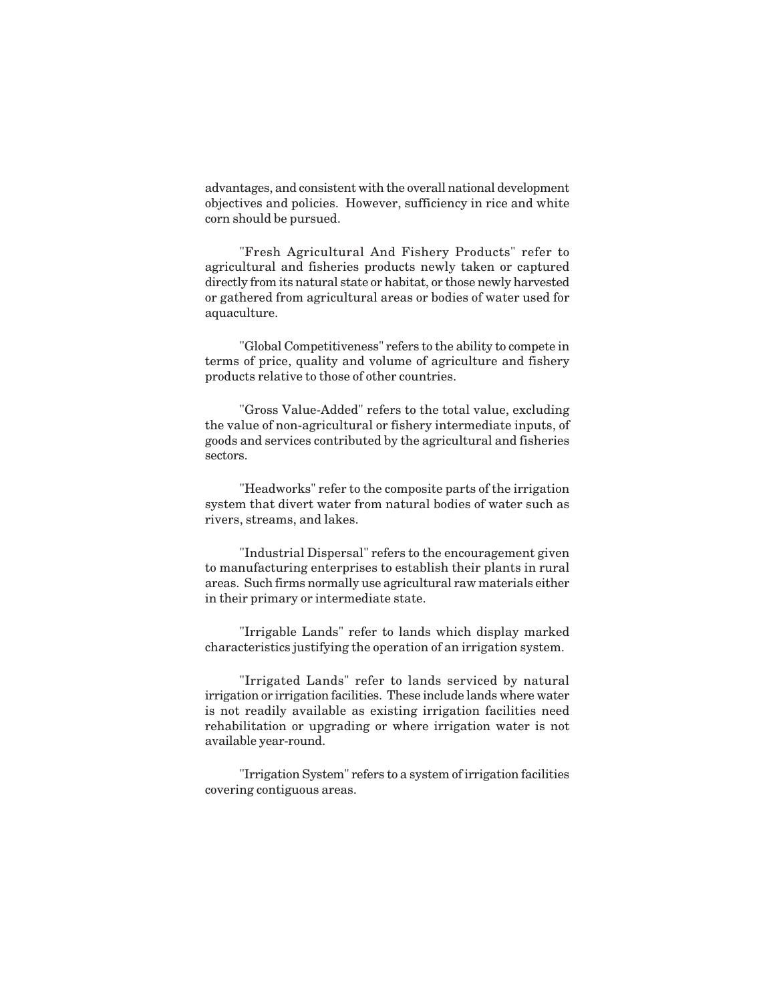advantages, and consistent with the overall national development objectives and policies. However, sufficiency in rice and white corn should be pursued.

"Fresh Agricultural And Fishery Products" refer to agricultural and fisheries products newly taken or captured directly from its natural state or habitat, or those newly harvested or gathered from agricultural areas or bodies of water used for aquaculture.

"Global Competitiveness" refers to the ability to compete in terms of price, quality and volume of agriculture and fishery products relative to those of other countries.

"Gross Value-Added" refers to the total value, excluding the value of non-agricultural or fishery intermediate inputs, of goods and services contributed by the agricultural and fisheries sectors.

"Headworks" refer to the composite parts of the irrigation system that divert water from natural bodies of water such as rivers, streams, and lakes.

"Industrial Dispersal" refers to the encouragement given to manufacturing enterprises to establish their plants in rural areas. Such firms normally use agricultural raw materials either in their primary or intermediate state.

"Irrigable Lands" refer to lands which display marked characteristics justifying the operation of an irrigation system.

"Irrigated Lands" refer to lands serviced by natural irrigation or irrigation facilities. These include lands where water is not readily available as existing irrigation facilities need rehabilitation or upgrading or where irrigation water is not available year-round.

"Irrigation System" refers to a system of irrigation facilities covering contiguous areas.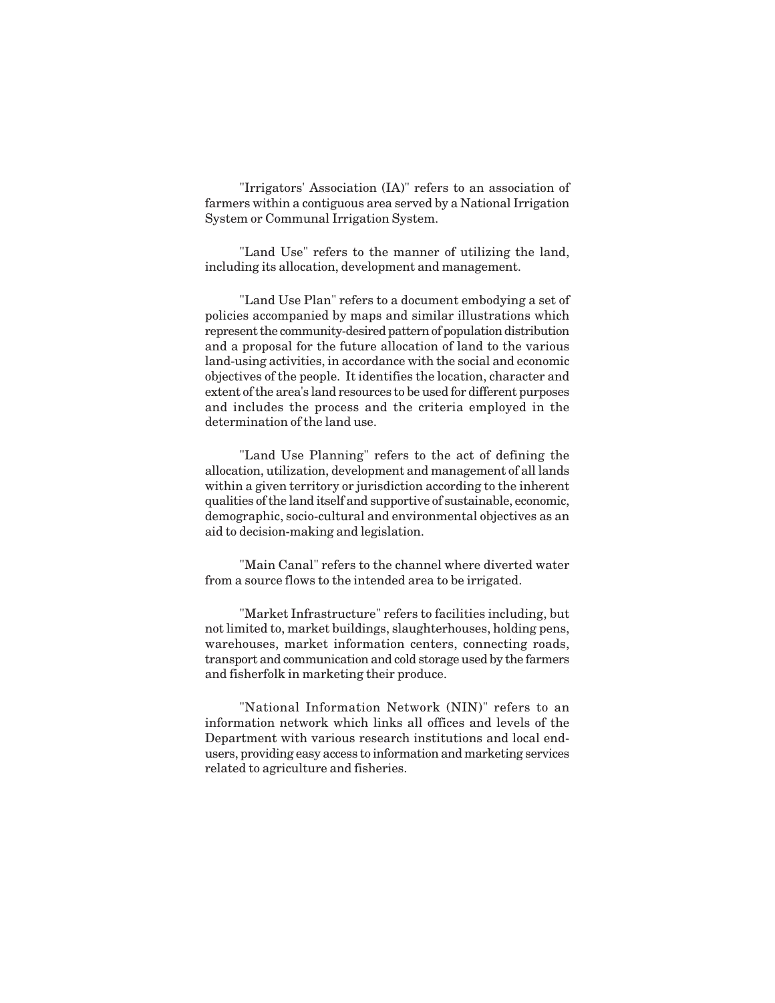"Irrigators' Association (IA)" refers to an association of farmers within a contiguous area served by a National Irrigation System or Communal Irrigation System.

"Land Use" refers to the manner of utilizing the land, including its allocation, development and management.

"Land Use Plan" refers to a document embodying a set of policies accompanied by maps and similar illustrations which represent the community-desired pattern of population distribution and a proposal for the future allocation of land to the various land-using activities, in accordance with the social and economic objectives of the people. It identifies the location, character and extent of the area's land resources to be used for different purposes and includes the process and the criteria employed in the determination of the land use.

"Land Use Planning" refers to the act of defining the allocation, utilization, development and management of all lands within a given territory or jurisdiction according to the inherent qualities of the land itself and supportive of sustainable, economic, demographic, socio-cultural and environmental objectives as an aid to decision-making and legislation.

"Main Canal" refers to the channel where diverted water from a source flows to the intended area to be irrigated.

"Market Infrastructure" refers to facilities including, but not limited to, market buildings, slaughterhouses, holding pens, warehouses, market information centers, connecting roads, transport and communication and cold storage used by the farmers and fisherfolk in marketing their produce.

"National Information Network (NIN)" refers to an information network which links all offices and levels of the Department with various research institutions and local endusers, providing easy access to information and marketing services related to agriculture and fisheries.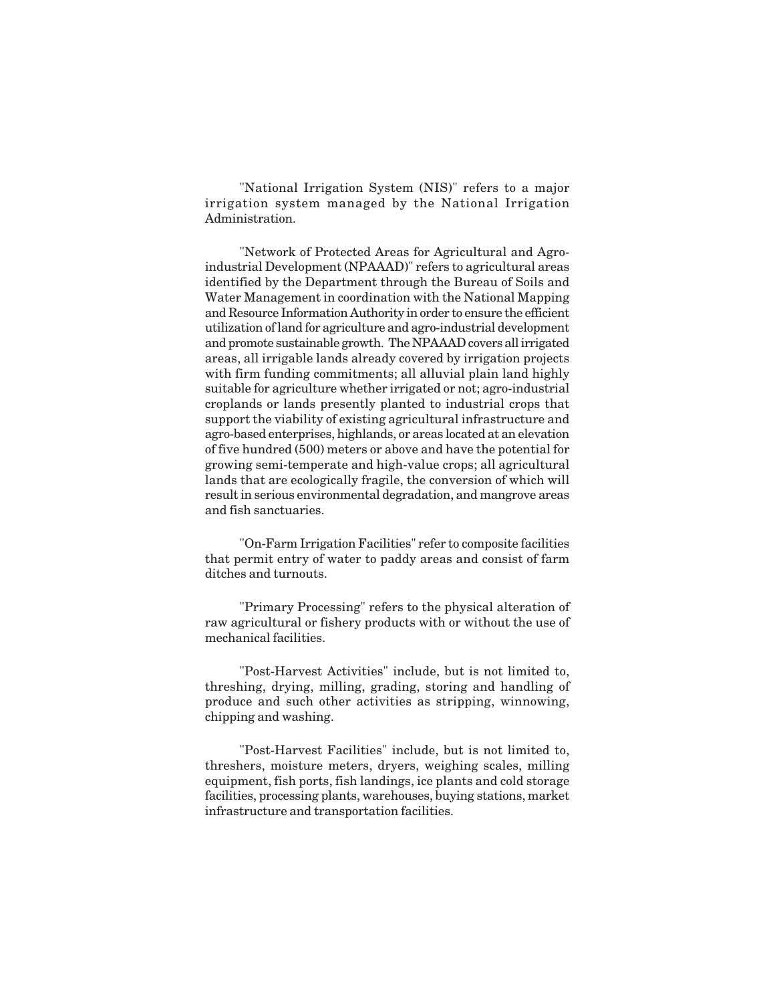"National Irrigation System (NIS)" refers to a major irrigation system managed by the National Irrigation Administration.

"Network of Protected Areas for Agricultural and Agroindustrial Development (NPAAAD)" refers to agricultural areas identified by the Department through the Bureau of Soils and Water Management in coordination with the National Mapping and Resource Information Authority in order to ensure the efficient utilization of land for agriculture and agro-industrial development and promote sustainable growth. The NPAAAD covers all irrigated areas, all irrigable lands already covered by irrigation projects with firm funding commitments; all alluvial plain land highly suitable for agriculture whether irrigated or not; agro-industrial croplands or lands presently planted to industrial crops that support the viability of existing agricultural infrastructure and agro-based enterprises, highlands, or areas located at an elevation of five hundred (500) meters or above and have the potential for growing semi-temperate and high-value crops; all agricultural lands that are ecologically fragile, the conversion of which will result in serious environmental degradation, and mangrove areas and fish sanctuaries.

"On-Farm Irrigation Facilities" refer to composite facilities that permit entry of water to paddy areas and consist of farm ditches and turnouts.

"Primary Processing" refers to the physical alteration of raw agricultural or fishery products with or without the use of mechanical facilities.

"Post-Harvest Activities" include, but is not limited to, threshing, drying, milling, grading, storing and handling of produce and such other activities as stripping, winnowing, chipping and washing.

"Post-Harvest Facilities" include, but is not limited to, threshers, moisture meters, dryers, weighing scales, milling equipment, fish ports, fish landings, ice plants and cold storage facilities, processing plants, warehouses, buying stations, market infrastructure and transportation facilities.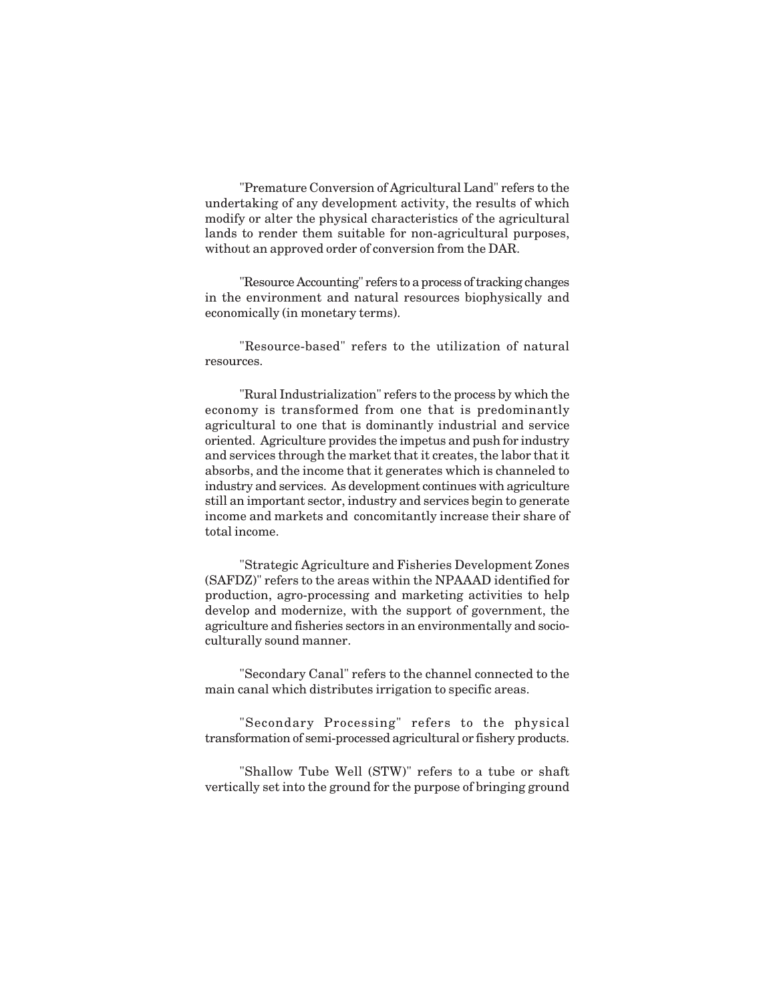"Premature Conversion of Agricultural Land" refers to the undertaking of any development activity, the results of which modify or alter the physical characteristics of the agricultural lands to render them suitable for non-agricultural purposes, without an approved order of conversion from the DAR.

"Resource Accounting" refers to a process of tracking changes in the environment and natural resources biophysically and economically (in monetary terms).

"Resource-based" refers to the utilization of natural resources.

"Rural Industrialization" refers to the process by which the economy is transformed from one that is predominantly agricultural to one that is dominantly industrial and service oriented. Agriculture provides the impetus and push for industry and services through the market that it creates, the labor that it absorbs, and the income that it generates which is channeled to industry and services. As development continues with agriculture still an important sector, industry and services begin to generate income and markets and concomitantly increase their share of total income.

"Strategic Agriculture and Fisheries Development Zones (SAFDZ)" refers to the areas within the NPAAAD identified for production, agro-processing and marketing activities to help develop and modernize, with the support of government, the agriculture and fisheries sectors in an environmentally and socioculturally sound manner.

"Secondary Canal" refers to the channel connected to the main canal which distributes irrigation to specific areas.

"Secondary Processing" refers to the physical transformation of semi-processed agricultural or fishery products.

"Shallow Tube Well (STW)" refers to a tube or shaft vertically set into the ground for the purpose of bringing ground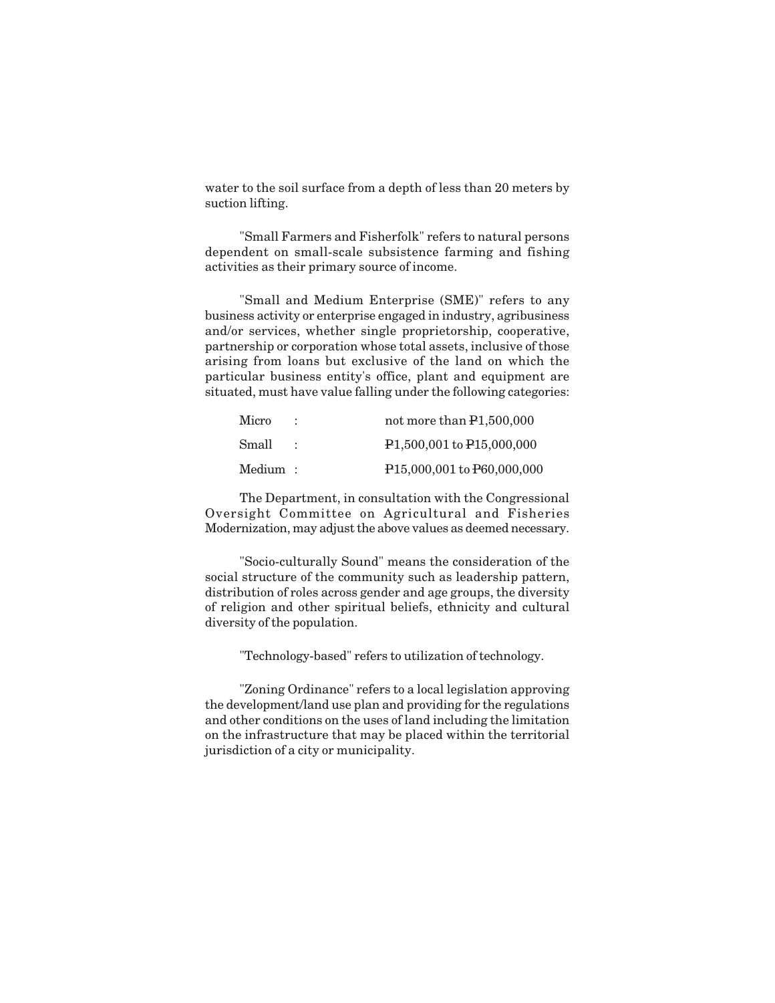water to the soil surface from a depth of less than 20 meters by suction lifting.

"Small Farmers and Fisherfolk" refers to natural persons dependent on small-scale subsistence farming and fishing activities as their primary source of income.

"Small and Medium Enterprise (SME)" refers to any business activity or enterprise engaged in industry, agribusiness and/or services, whether single proprietorship, cooperative, partnership or corporation whose total assets, inclusive of those arising from loans but exclusive of the land on which the particular business entity's office, plant and equipment are situated, must have value falling under the following categories:

|                | not more than P1,500,000                             |
|----------------|------------------------------------------------------|
|                | P <sub>1</sub> ,500,001 to P <sub>15</sub> ,000,000  |
| $\rm Medium$ : | P <sub>15</sub> ,000,001 to P <sub>60</sub> ,000,000 |
|                |                                                      |

The Department, in consultation with the Congressional Oversight Committee on Agricultural and Fisheries Modernization, may adjust the above values as deemed necessary.

"Socio-culturally Sound" means the consideration of the social structure of the community such as leadership pattern, distribution of roles across gender and age groups, the diversity of religion and other spiritual beliefs, ethnicity and cultural diversity of the population.

"Technology-based" refers to utilization of technology.

"Zoning Ordinance" refers to a local legislation approving the development/land use plan and providing for the regulations and other conditions on the uses of land including the limitation on the infrastructure that may be placed within the territorial jurisdiction of a city or municipality.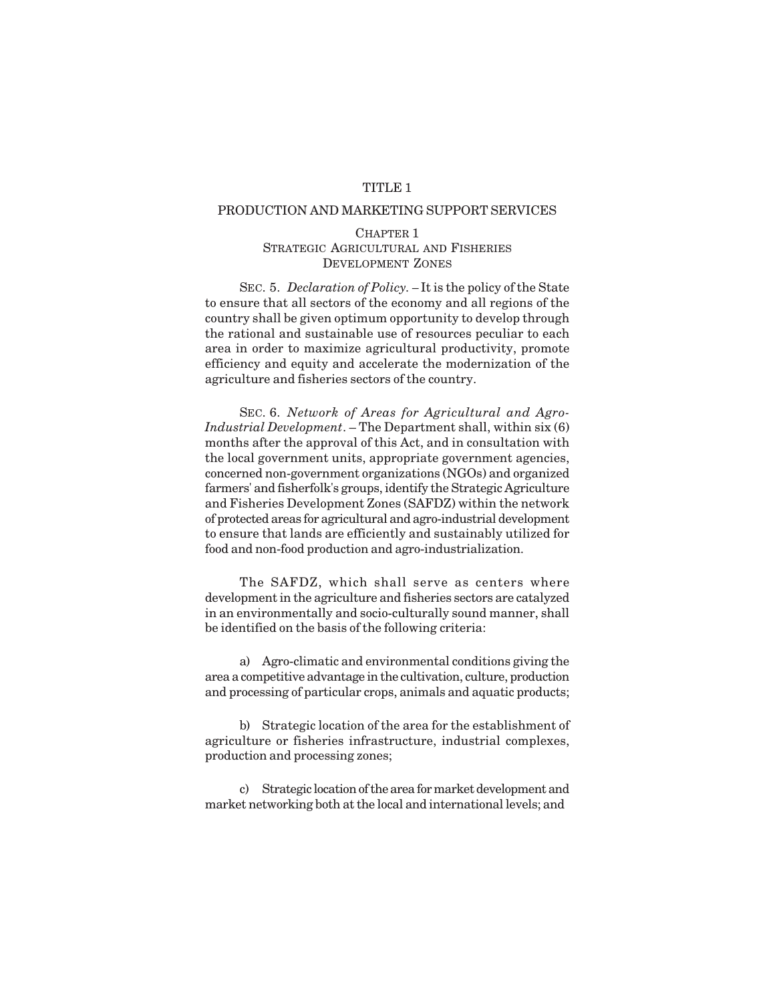## TITLE 1

#### PRODUCTION AND MARKETING SUPPORT SERVICES

#### CHAPTER 1 STRATEGIC AGRICULTURAL AND FISHERIES DEVELOPMENT ZONES

SEC. 5. *Declaration of Policy. –* It is the policy of the State to ensure that all sectors of the economy and all regions of the country shall be given optimum opportunity to develop through the rational and sustainable use of resources peculiar to each area in order to maximize agricultural productivity, promote efficiency and equity and accelerate the modernization of the agriculture and fisheries sectors of the country.

SEC. 6. *Network of Areas for Agricultural and Agro-Industrial Development*. – The Department shall, within six (6) months after the approval of this Act, and in consultation with the local government units, appropriate government agencies, concerned non-government organizations (NGOs) and organized farmers' and fisherfolk's groups, identify the Strategic Agriculture and Fisheries Development Zones (SAFDZ) within the network of protected areas for agricultural and agro-industrial development to ensure that lands are efficiently and sustainably utilized for food and non-food production and agro-industrialization.

The SAFDZ, which shall serve as centers where development in the agriculture and fisheries sectors are catalyzed in an environmentally and socio-culturally sound manner, shall be identified on the basis of the following criteria:

a) Agro-climatic and environmental conditions giving the area a competitive advantage in the cultivation, culture, production and processing of particular crops, animals and aquatic products;

b) Strategic location of the area for the establishment of agriculture or fisheries infrastructure, industrial complexes, production and processing zones;

c) Strategic location of the area for market development and market networking both at the local and international levels; and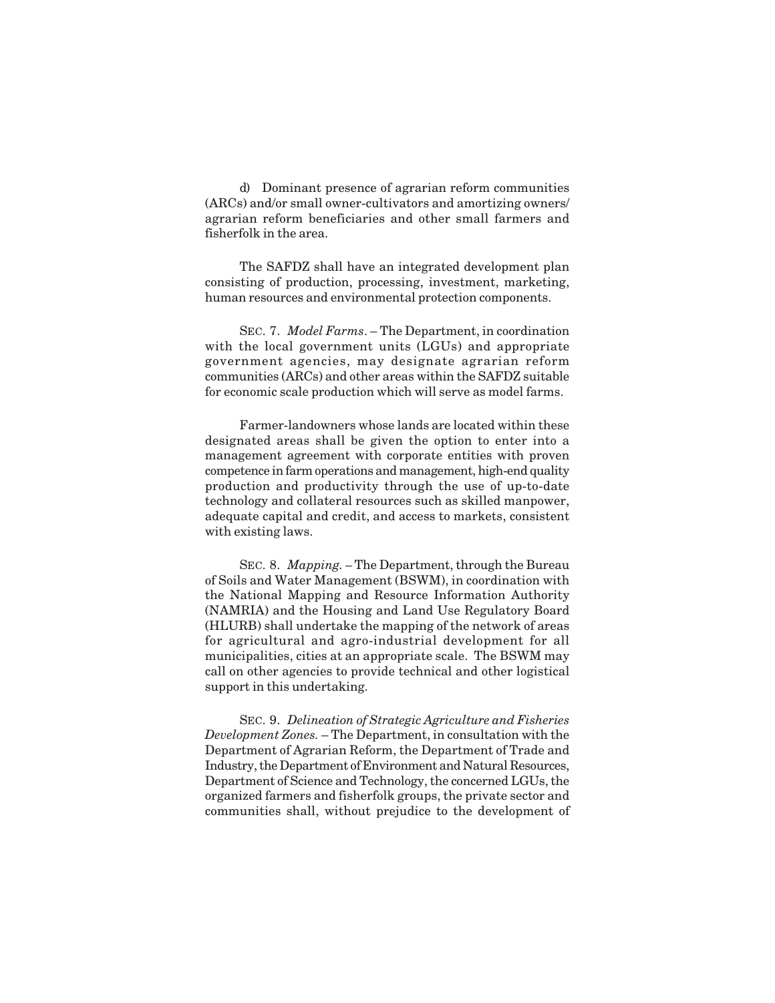d) Dominant presence of agrarian reform communities (ARCs) and/or small owner-cultivators and amortizing owners/ agrarian reform beneficiaries and other small farmers and fisherfolk in the area.

The SAFDZ shall have an integrated development plan consisting of production, processing, investment, marketing, human resources and environmental protection components.

SEC. 7. *Model Farms*. – The Department, in coordination with the local government units (LGUs) and appropriate government agencies, may designate agrarian reform communities (ARCs) and other areas within the SAFDZ suitable for economic scale production which will serve as model farms.

Farmer-landowners whose lands are located within these designated areas shall be given the option to enter into a management agreement with corporate entities with proven competence in farm operations and management, high-end quality production and productivity through the use of up-to-date technology and collateral resources such as skilled manpower, adequate capital and credit, and access to markets, consistent with existing laws.

SEC. 8. *Mapping. –* The Department, through the Bureau of Soils and Water Management (BSWM), in coordination with the National Mapping and Resource Information Authority (NAMRIA) and the Housing and Land Use Regulatory Board (HLURB) shall undertake the mapping of the network of areas for agricultural and agro-industrial development for all municipalities, cities at an appropriate scale. The BSWM may call on other agencies to provide technical and other logistical support in this undertaking.

SEC. 9. *Delineation of Strategic Agriculture and Fisheries Development Zones.* – The Department, in consultation with the Department of Agrarian Reform, the Department of Trade and Industry, the Department of Environment and Natural Resources, Department of Science and Technology, the concerned LGUs, the organized farmers and fisherfolk groups, the private sector and communities shall, without prejudice to the development of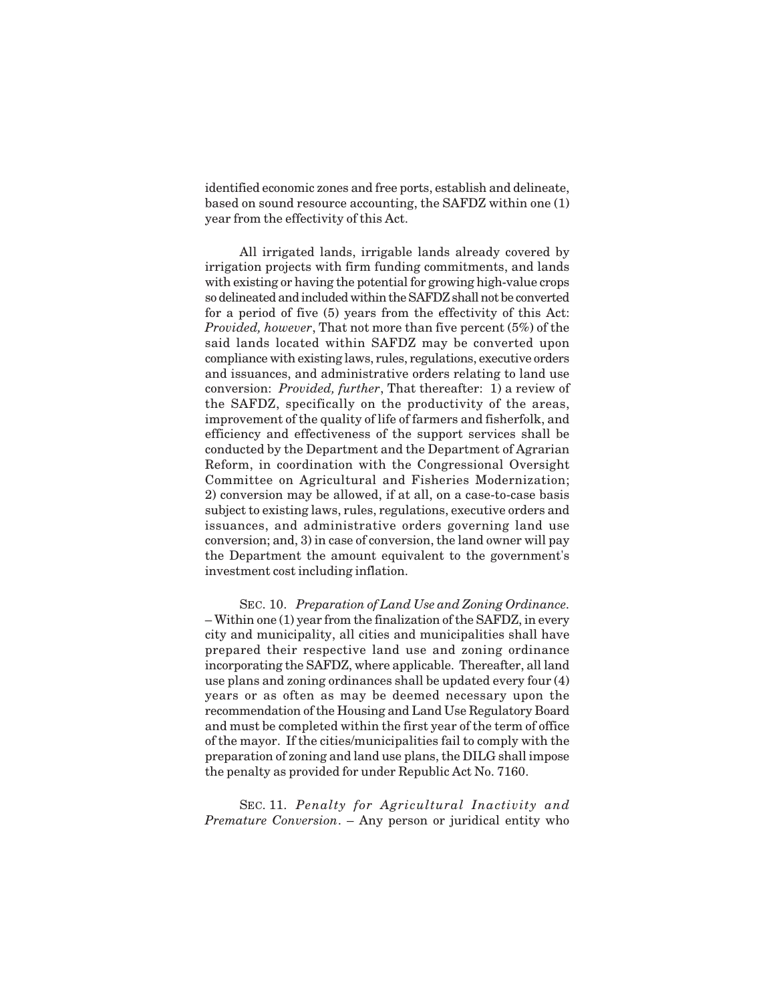identified economic zones and free ports, establish and delineate, based on sound resource accounting, the SAFDZ within one (1) year from the effectivity of this Act.

All irrigated lands, irrigable lands already covered by irrigation projects with firm funding commitments, and lands with existing or having the potential for growing high-value crops so delineated and included within the SAFDZ shall not be converted for a period of five (5) years from the effectivity of this Act: *Provided, however*, That not more than five percent (5%) of the said lands located within SAFDZ may be converted upon compliance with existing laws, rules, regulations, executive orders and issuances, and administrative orders relating to land use conversion: *Provided, further*, That thereafter: 1) a review of the SAFDZ, specifically on the productivity of the areas, improvement of the quality of life of farmers and fisherfolk, and efficiency and effectiveness of the support services shall be conducted by the Department and the Department of Agrarian Reform, in coordination with the Congressional Oversight Committee on Agricultural and Fisheries Modernization; 2) conversion may be allowed, if at all, on a case-to-case basis subject to existing laws, rules, regulations, executive orders and issuances, and administrative orders governing land use conversion; and, 3) in case of conversion, the land owner will pay the Department the amount equivalent to the government's investment cost including inflation.

SEC. 10. *Preparation of Land Use and Zoning Ordinance*. – Within one (1) year from the finalization of the SAFDZ, in every city and municipality, all cities and municipalities shall have prepared their respective land use and zoning ordinance incorporating the SAFDZ, where applicable. Thereafter, all land use plans and zoning ordinances shall be updated every four (4) years or as often as may be deemed necessary upon the recommendation of the Housing and Land Use Regulatory Board and must be completed within the first year of the term of office of the mayor. If the cities/municipalities fail to comply with the preparation of zoning and land use plans, the DILG shall impose the penalty as provided for under Republic Act No. 7160.

SEC. 11. *Penalty for Agricultural Inactivity and Premature Conversion*. – Any person or juridical entity who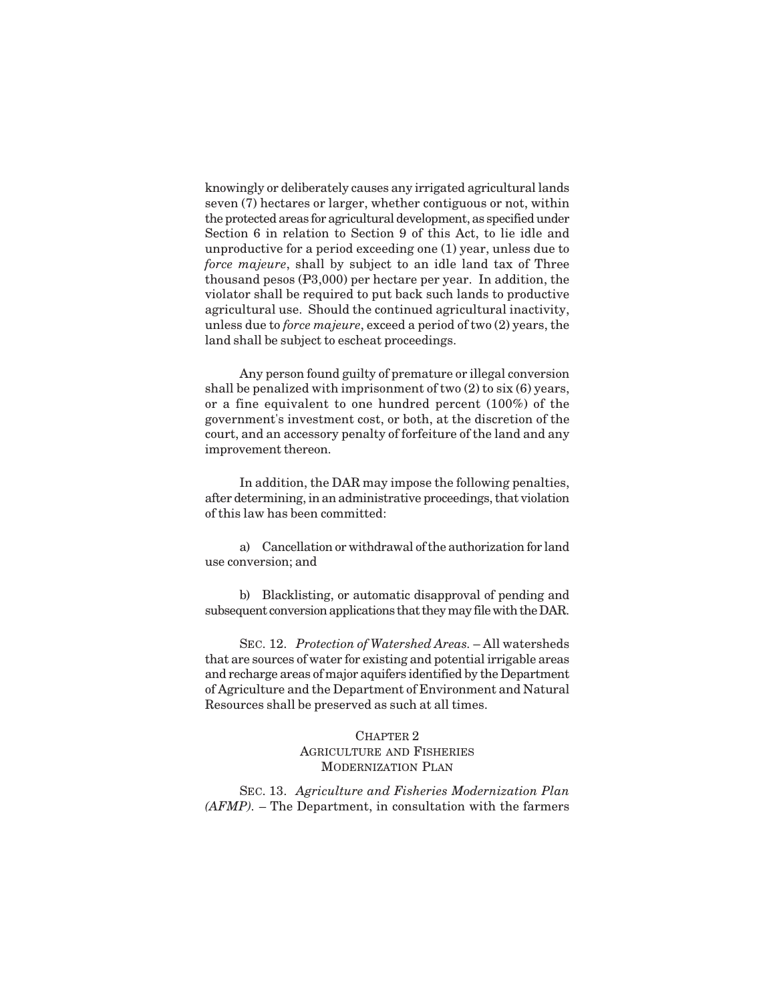knowingly or deliberately causes any irrigated agricultural lands seven (7) hectares or larger, whether contiguous or not, within the protected areas for agricultural development, as specified under Section 6 in relation to Section 9 of this Act, to lie idle and unproductive for a period exceeding one (1) year, unless due to *force majeure*, shall by subject to an idle land tax of Three thousand pesos (P3,000) per hectare per year. In addition, the violator shall be required to put back such lands to productive agricultural use. Should the continued agricultural inactivity, unless due to *force majeure*, exceed a period of two (2) years, the land shall be subject to escheat proceedings.

Any person found guilty of premature or illegal conversion shall be penalized with imprisonment of two (2) to six (6) years, or a fine equivalent to one hundred percent (100%) of the government's investment cost, or both, at the discretion of the court, and an accessory penalty of forfeiture of the land and any improvement thereon.

In addition, the DAR may impose the following penalties, after determining, in an administrative proceedings, that violation of this law has been committed:

a) Cancellation or withdrawal of the authorization for land use conversion; and

b) Blacklisting, or automatic disapproval of pending and subsequent conversion applications that they may file with the DAR.

SEC. 12. *Protection of Watershed Areas.* – All watersheds that are sources of water for existing and potential irrigable areas and recharge areas of major aquifers identified by the Department of Agriculture and the Department of Environment and Natural Resources shall be preserved as such at all times.

## CHAPTER 2 AGRICULTURE AND FISHERIES MODERNIZATION PLAN

SEC. 13. *Agriculture and Fisheries Modernization Plan (AFMP).* – The Department, in consultation with the farmers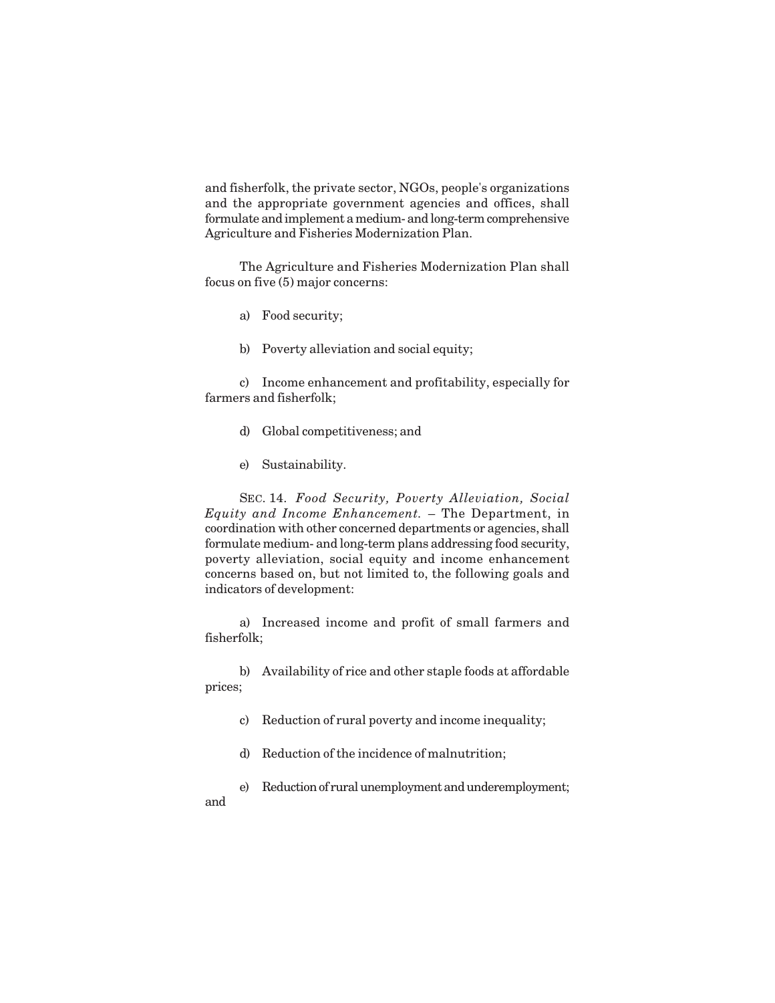and fisherfolk, the private sector, NGOs, people's organizations and the appropriate government agencies and offices, shall formulate and implement a medium- and long-term comprehensive Agriculture and Fisheries Modernization Plan.

The Agriculture and Fisheries Modernization Plan shall focus on five (5) major concerns:

- a) Food security;
- b) Poverty alleviation and social equity;

c) Income enhancement and profitability, especially for farmers and fisherfolk;

- d) Global competitiveness; and
- e) Sustainability.

SEC. 14. *Food Security, Poverty Alleviation, Social Equity and Income Enhancement.* – The Department, in coordination with other concerned departments or agencies, shall formulate medium- and long-term plans addressing food security, poverty alleviation, social equity and income enhancement concerns based on, but not limited to, the following goals and indicators of development:

a) Increased income and profit of small farmers and fisherfolk;

b) Availability of rice and other staple foods at affordable prices;

- c) Reduction of rural poverty and income inequality;
- d) Reduction of the incidence of malnutrition;
- e) Reduction of rural unemployment and underemployment;

and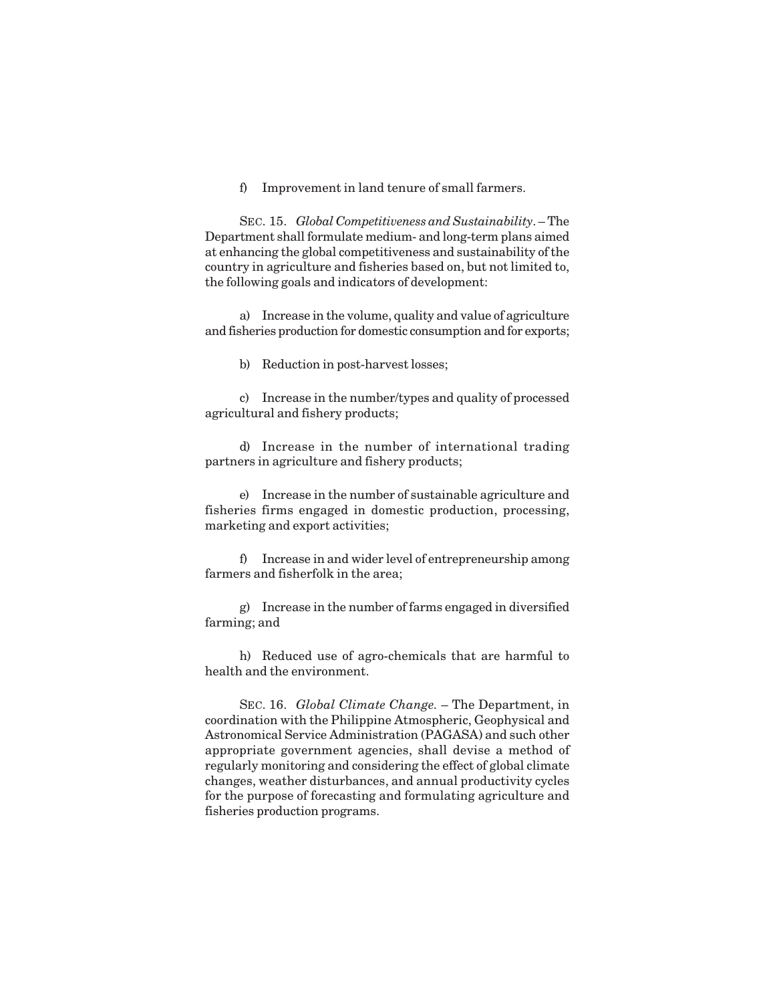f) Improvement in land tenure of small farmers.

SEC. 15. *Global Competitiveness and Sustainability*. – The Department shall formulate medium- and long-term plans aimed at enhancing the global competitiveness and sustainability of the country in agriculture and fisheries based on, but not limited to, the following goals and indicators of development:

a) Increase in the volume, quality and value of agriculture and fisheries production for domestic consumption and for exports;

b) Reduction in post-harvest losses;

c) Increase in the number/types and quality of processed agricultural and fishery products;

d) Increase in the number of international trading partners in agriculture and fishery products;

e) Increase in the number of sustainable agriculture and fisheries firms engaged in domestic production, processing, marketing and export activities;

f) Increase in and wider level of entrepreneurship among farmers and fisherfolk in the area;

g) Increase in the number of farms engaged in diversified farming; and

h) Reduced use of agro-chemicals that are harmful to health and the environment.

SEC. 16. *Global Climate Change.* – The Department, in coordination with the Philippine Atmospheric, Geophysical and Astronomical Service Administration (PAGASA) and such other appropriate government agencies, shall devise a method of regularly monitoring and considering the effect of global climate changes, weather disturbances, and annual productivity cycles for the purpose of forecasting and formulating agriculture and fisheries production programs.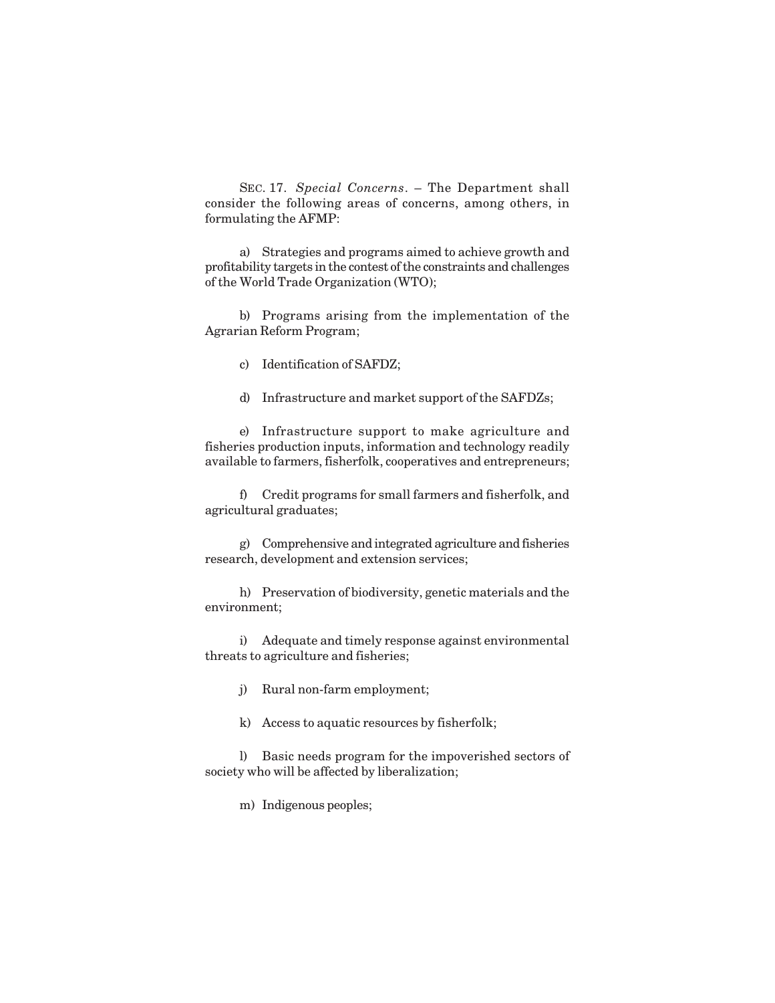SEC. 17. *Special Concerns*. – The Department shall consider the following areas of concerns, among others, in formulating the AFMP:

a) Strategies and programs aimed to achieve growth and profitability targets in the contest of the constraints and challenges of the World Trade Organization (WTO);

b) Programs arising from the implementation of the Agrarian Reform Program;

- c) Identification of SAFDZ;
- d) Infrastructure and market support of the SAFDZs;

e) Infrastructure support to make agriculture and fisheries production inputs, information and technology readily available to farmers, fisherfolk, cooperatives and entrepreneurs;

f) Credit programs for small farmers and fisherfolk, and agricultural graduates;

g) Comprehensive and integrated agriculture and fisheries research, development and extension services;

h) Preservation of biodiversity, genetic materials and the environment;

i) Adequate and timely response against environmental threats to agriculture and fisheries;

- j) Rural non-farm employment;
- k) Access to aquatic resources by fisherfolk;

l) Basic needs program for the impoverished sectors of society who will be affected by liberalization;

m) Indigenous peoples;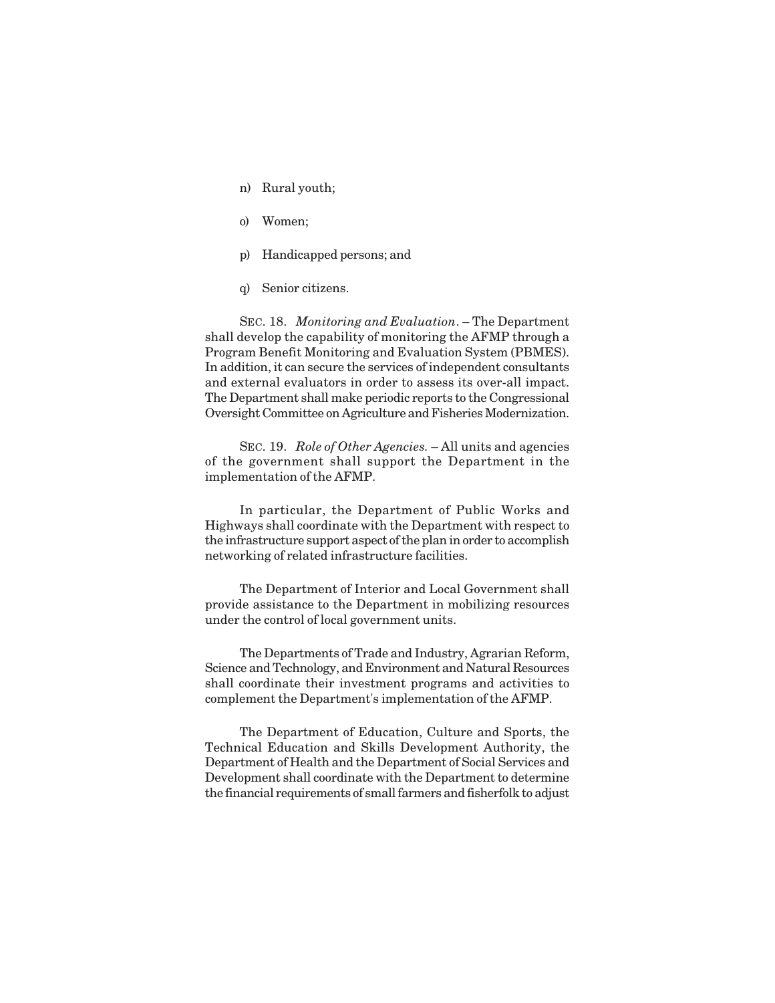- n) Rural youth;
- o) Women;
- p) Handicapped persons; and
- q) Senior citizens.

SEC. 18. *Monitoring and Evaluation*. – The Department shall develop the capability of monitoring the AFMP through a Program Benefit Monitoring and Evaluation System (PBMES). In addition, it can secure the services of independent consultants and external evaluators in order to assess its over-all impact. The Department shall make periodic reports to the Congressional Oversight Committee on Agriculture and Fisheries Modernization.

SEC. 19. *Role of Other Agencies.* – All units and agencies of the government shall support the Department in the implementation of the AFMP.

In particular, the Department of Public Works and Highways shall coordinate with the Department with respect to the infrastructure support aspect of the plan in order to accomplish networking of related infrastructure facilities.

The Department of Interior and Local Government shall provide assistance to the Department in mobilizing resources under the control of local government units.

The Departments of Trade and Industry, Agrarian Reform, Science and Technology, and Environment and Natural Resources shall coordinate their investment programs and activities to complement the Department's implementation of the AFMP.

The Department of Education, Culture and Sports, the Technical Education and Skills Development Authority, the Department of Health and the Department of Social Services and Development shall coordinate with the Department to determine the financial requirements of small farmers and fisherfolk to adjust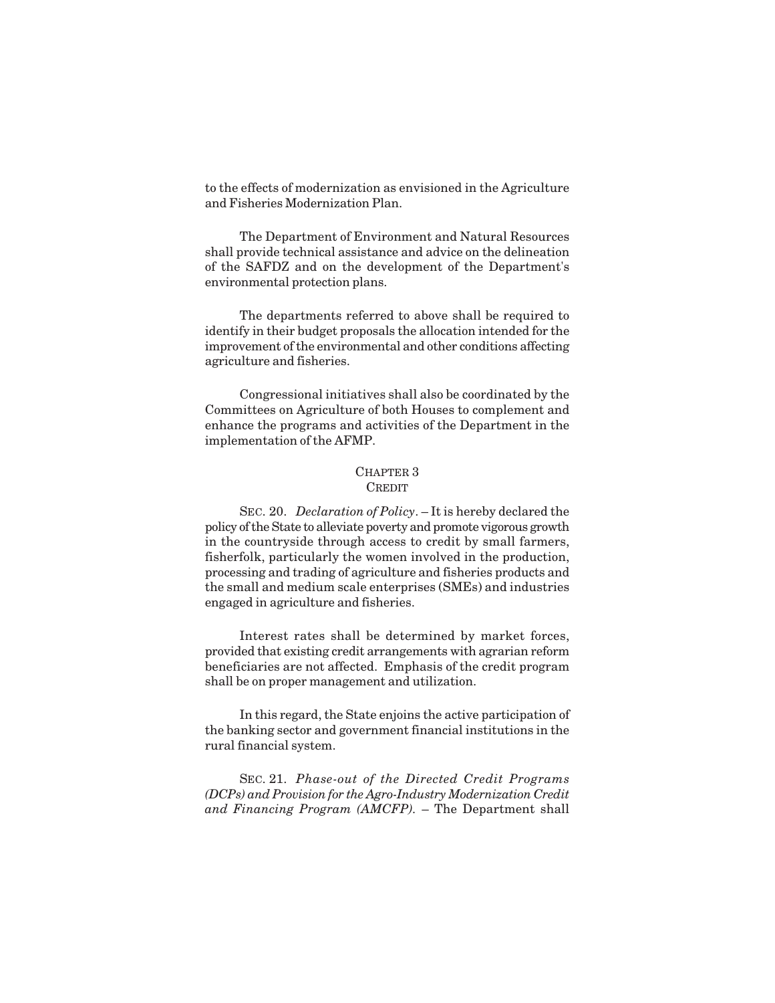to the effects of modernization as envisioned in the Agriculture and Fisheries Modernization Plan.

The Department of Environment and Natural Resources shall provide technical assistance and advice on the delineation of the SAFDZ and on the development of the Department's environmental protection plans.

The departments referred to above shall be required to identify in their budget proposals the allocation intended for the improvement of the environmental and other conditions affecting agriculture and fisheries.

Congressional initiatives shall also be coordinated by the Committees on Agriculture of both Houses to complement and enhance the programs and activities of the Department in the implementation of the AFMP.

#### CHAPTER 3 **CREDIT**

SEC. 20. *Declaration of Policy*. – It is hereby declared the policy of the State to alleviate poverty and promote vigorous growth in the countryside through access to credit by small farmers, fisherfolk, particularly the women involved in the production, processing and trading of agriculture and fisheries products and the small and medium scale enterprises (SMEs) and industries engaged in agriculture and fisheries.

Interest rates shall be determined by market forces, provided that existing credit arrangements with agrarian reform beneficiaries are not affected. Emphasis of the credit program shall be on proper management and utilization.

In this regard, the State enjoins the active participation of the banking sector and government financial institutions in the rural financial system.

SEC. 21. *Phase-out of the Directed Credit Programs (DCPs) and Provision for the Agro-Industry Modernization Credit and Financing Program (AMCFP).* – The Department shall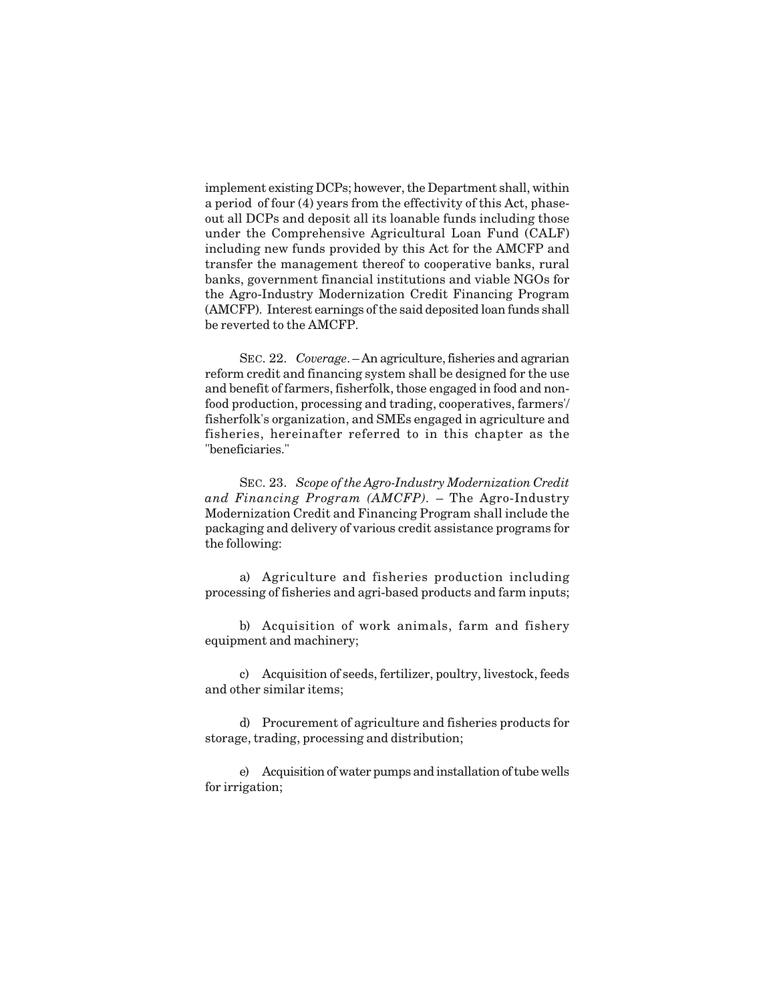implement existing DCPs; however, the Department shall, within a period of four (4) years from the effectivity of this Act, phaseout all DCPs and deposit all its loanable funds including those under the Comprehensive Agricultural Loan Fund (CALF) including new funds provided by this Act for the AMCFP and transfer the management thereof to cooperative banks, rural banks, government financial institutions and viable NGOs for the Agro-Industry Modernization Credit Financing Program (AMCFP). Interest earnings of the said deposited loan funds shall be reverted to the AMCFP.

SEC. 22. *Coverage*. – An agriculture, fisheries and agrarian reform credit and financing system shall be designed for the use and benefit of farmers, fisherfolk, those engaged in food and nonfood production, processing and trading, cooperatives, farmers'/ fisherfolk's organization, and SMEs engaged in agriculture and fisheries, hereinafter referred to in this chapter as the "beneficiaries."

SEC. 23. *Scope of the Agro-Industry Modernization Credit and Financing Program (AMCFP).* – The Agro-Industry Modernization Credit and Financing Program shall include the packaging and delivery of various credit assistance programs for the following:

a) Agriculture and fisheries production including processing of fisheries and agri-based products and farm inputs;

b) Acquisition of work animals, farm and fishery equipment and machinery;

c) Acquisition of seeds, fertilizer, poultry, livestock, feeds and other similar items;

d) Procurement of agriculture and fisheries products for storage, trading, processing and distribution;

e) Acquisition of water pumps and installation of tube wells for irrigation;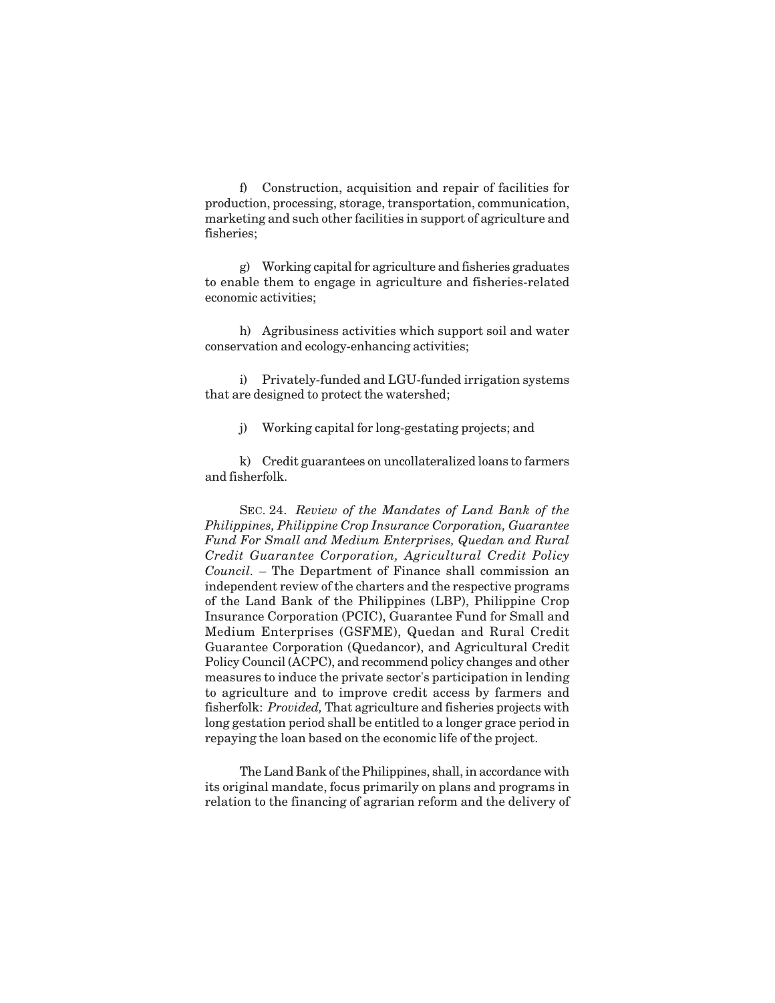f) Construction, acquisition and repair of facilities for production, processing, storage, transportation, communication, marketing and such other facilities in support of agriculture and fisheries;

g) Working capital for agriculture and fisheries graduates to enable them to engage in agriculture and fisheries-related economic activities;

h) Agribusiness activities which support soil and water conservation and ecology-enhancing activities;

i) Privately-funded and LGU-funded irrigation systems that are designed to protect the watershed;

j) Working capital for long-gestating projects; and

k) Credit guarantees on uncollateralized loans to farmers and fisherfolk.

SEC. 24. *Review of the Mandates of Land Bank of the Philippines, Philippine Crop Insurance Corporation, Guarantee Fund For Small and Medium Enterprises, Quedan and Rural Credit Guarantee Corporation, Agricultural Credit Policy Council.* – The Department of Finance shall commission an independent review of the charters and the respective programs of the Land Bank of the Philippines (LBP), Philippine Crop Insurance Corporation (PCIC), Guarantee Fund for Small and Medium Enterprises (GSFME), Quedan and Rural Credit Guarantee Corporation (Quedancor), and Agricultural Credit Policy Council (ACPC), and recommend policy changes and other measures to induce the private sector's participation in lending to agriculture and to improve credit access by farmers and fisherfolk: *Provided,* That agriculture and fisheries projects with long gestation period shall be entitled to a longer grace period in repaying the loan based on the economic life of the project.

The Land Bank of the Philippines, shall, in accordance with its original mandate, focus primarily on plans and programs in relation to the financing of agrarian reform and the delivery of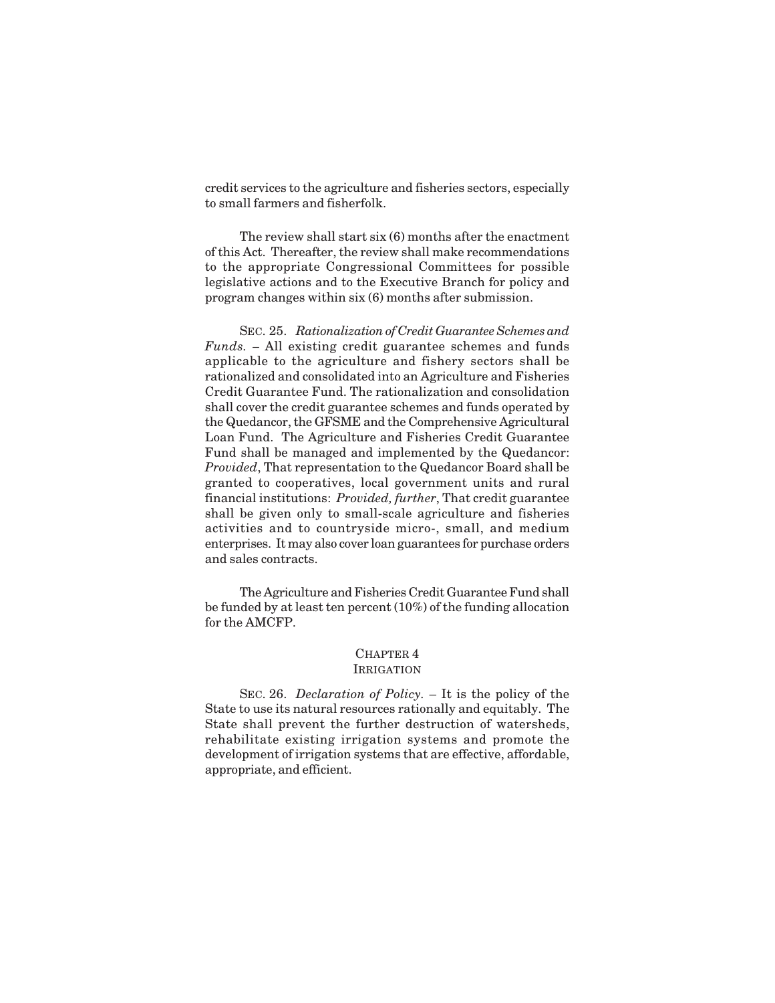credit services to the agriculture and fisheries sectors, especially to small farmers and fisherfolk.

The review shall start six (6) months after the enactment of this Act. Thereafter, the review shall make recommendations to the appropriate Congressional Committees for possible legislative actions and to the Executive Branch for policy and program changes within six (6) months after submission.

SEC. 25. *Rationalization of Credit Guarantee Schemes and Funds. –* All existing credit guarantee schemes and funds applicable to the agriculture and fishery sectors shall be rationalized and consolidated into an Agriculture and Fisheries Credit Guarantee Fund. The rationalization and consolidation shall cover the credit guarantee schemes and funds operated by the Quedancor, the GFSME and the Comprehensive Agricultural Loan Fund. The Agriculture and Fisheries Credit Guarantee Fund shall be managed and implemented by the Quedancor: *Provided*, That representation to the Quedancor Board shall be granted to cooperatives, local government units and rural financial institutions: *Provided, further*, That credit guarantee shall be given only to small-scale agriculture and fisheries activities and to countryside micro-, small, and medium enterprises. It may also cover loan guarantees for purchase orders and sales contracts.

The Agriculture and Fisheries Credit Guarantee Fund shall be funded by at least ten percent (10%) of the funding allocation for the AMCFP.

## CHAPTER 4

## IRRIGATION

SEC. 26. *Declaration of Policy.* – It is the policy of the State to use its natural resources rationally and equitably. The State shall prevent the further destruction of watersheds, rehabilitate existing irrigation systems and promote the development of irrigation systems that are effective, affordable, appropriate, and efficient.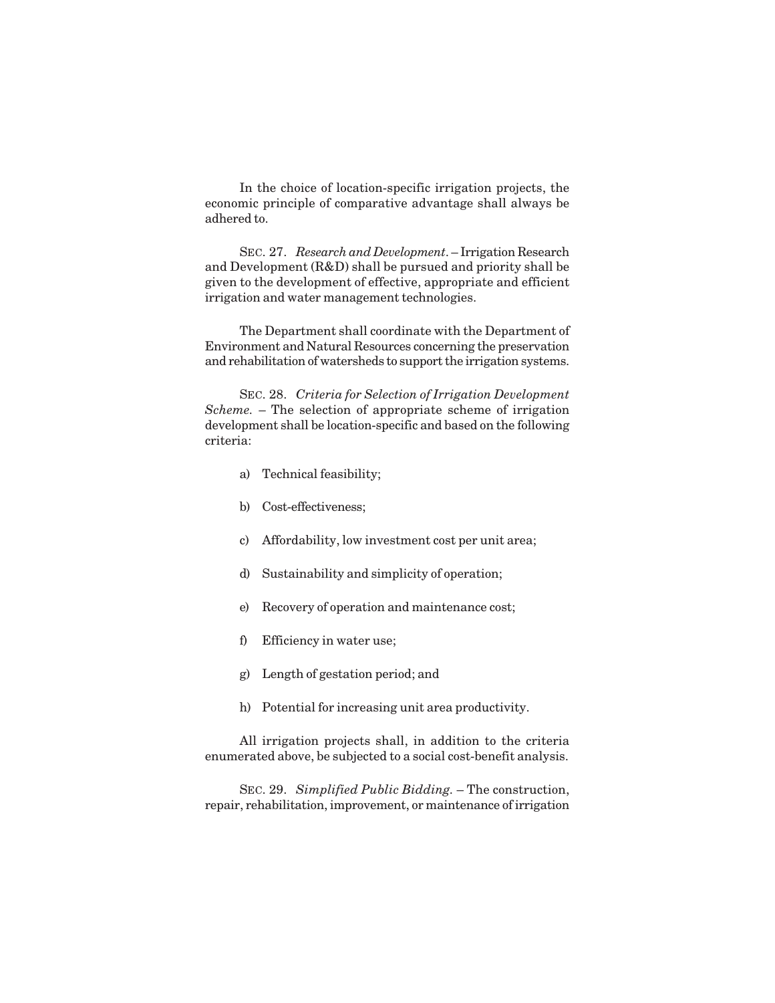In the choice of location-specific irrigation projects, the economic principle of comparative advantage shall always be adhered to.

SEC. 27. *Research and Development*. – Irrigation Research and Development (R&D) shall be pursued and priority shall be given to the development of effective, appropriate and efficient irrigation and water management technologies.

The Department shall coordinate with the Department of Environment and Natural Resources concerning the preservation and rehabilitation of watersheds to support the irrigation systems.

SEC. 28. *Criteria for Selection of Irrigation Development Scheme.* – The selection of appropriate scheme of irrigation development shall be location-specific and based on the following criteria:

- a) Technical feasibility;
- b) Cost-effectiveness;
- c) Affordability, low investment cost per unit area;
- d) Sustainability and simplicity of operation;
- e) Recovery of operation and maintenance cost;
- f) Efficiency in water use;
- g) Length of gestation period; and
- h) Potential for increasing unit area productivity.

All irrigation projects shall, in addition to the criteria enumerated above, be subjected to a social cost-benefit analysis.

SEC. 29. *Simplified Public Bidding.* – The construction, repair, rehabilitation, improvement, or maintenance of irrigation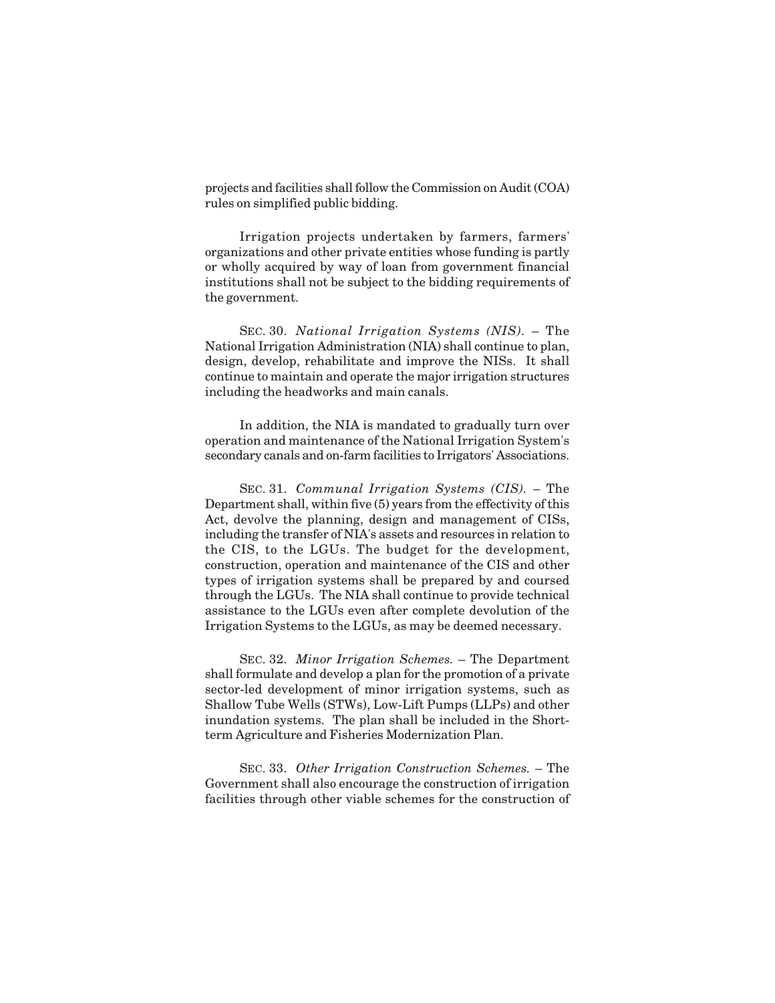projects and facilities shall follow the Commission on Audit (COA) rules on simplified public bidding.

Irrigation projects undertaken by farmers, farmers' organizations and other private entities whose funding is partly or wholly acquired by way of loan from government financial institutions shall not be subject to the bidding requirements of the government.

SEC. 30. *National Irrigation Systems (NIS).* – The National Irrigation Administration (NIA) shall continue to plan, design, develop, rehabilitate and improve the NISs. It shall continue to maintain and operate the major irrigation structures including the headworks and main canals.

In addition, the NIA is mandated to gradually turn over operation and maintenance of the National Irrigation System's secondary canals and on-farm facilities to Irrigators' Associations.

SEC. 31. *Communal Irrigation Systems (CIS).* – The Department shall, within five (5) years from the effectivity of this Act, devolve the planning, design and management of CISs, including the transfer of NIA's assets and resources in relation to the CIS, to the LGUs. The budget for the development, construction, operation and maintenance of the CIS and other types of irrigation systems shall be prepared by and coursed through the LGUs. The NIA shall continue to provide technical assistance to the LGUs even after complete devolution of the Irrigation Systems to the LGUs, as may be deemed necessary.

SEC. 32. *Minor Irrigation Schemes.* – The Department shall formulate and develop a plan for the promotion of a private sector-led development of minor irrigation systems, such as Shallow Tube Wells (STWs), Low-Lift Pumps (LLPs) and other inundation systems. The plan shall be included in the Shortterm Agriculture and Fisheries Modernization Plan.

SEC. 33. *Other Irrigation Construction Schemes.* – The Government shall also encourage the construction of irrigation facilities through other viable schemes for the construction of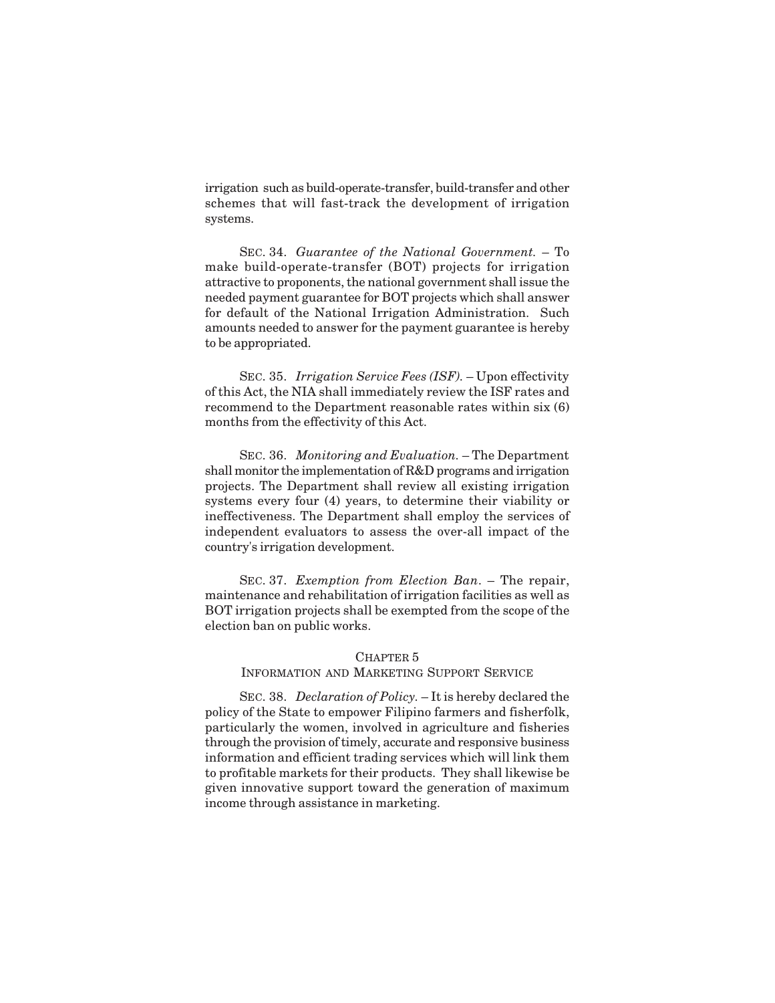irrigation such as build-operate-transfer, build-transfer and other schemes that will fast-track the development of irrigation systems.

SEC. 34. *Guarantee of the National Government.* – To make build-operate-transfer (BOT) projects for irrigation attractive to proponents, the national government shall issue the needed payment guarantee for BOT projects which shall answer for default of the National Irrigation Administration. Such amounts needed to answer for the payment guarantee is hereby to be appropriated.

SEC. 35. *Irrigation Service Fees (ISF).* – Upon effectivity of this Act, the NIA shall immediately review the ISF rates and recommend to the Department reasonable rates within six (6) months from the effectivity of this Act.

SEC. 36. *Monitoring and Evaluation.* – The Department shall monitor the implementation of R&D programs and irrigation projects. The Department shall review all existing irrigation systems every four (4) years, to determine their viability or ineffectiveness. The Department shall employ the services of independent evaluators to assess the over-all impact of the country's irrigation development.

SEC. 37. *Exemption from Election Ban*. – The repair, maintenance and rehabilitation of irrigation facilities as well as BOT irrigation projects shall be exempted from the scope of the election ban on public works.

#### CHAPTER 5

## INFORMATION AND MARKETING SUPPORT SERVICE

SEC. 38. *Declaration of Policy.* – It is hereby declared the policy of the State to empower Filipino farmers and fisherfolk, particularly the women, involved in agriculture and fisheries through the provision of timely, accurate and responsive business information and efficient trading services which will link them to profitable markets for their products. They shall likewise be given innovative support toward the generation of maximum income through assistance in marketing.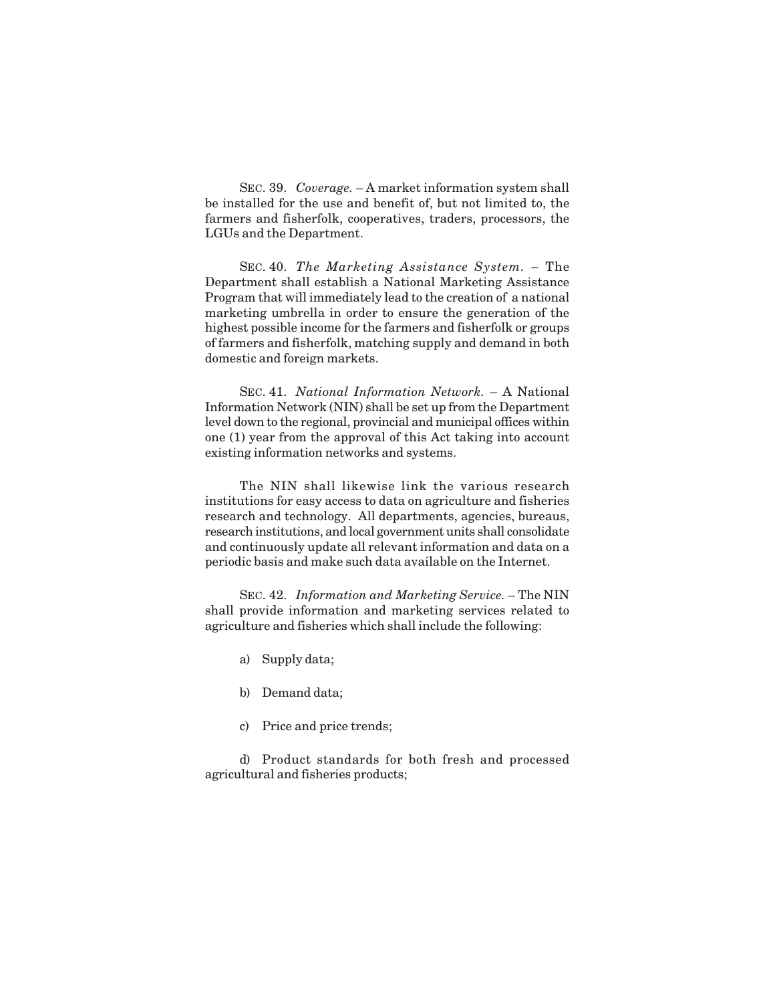SEC. 39. *Coverage.* – A market information system shall be installed for the use and benefit of, but not limited to, the farmers and fisherfolk, cooperatives, traders, processors, the LGUs and the Department.

SEC. 40. *The Marketing Assistance System.* – The Department shall establish a National Marketing Assistance Program that will immediately lead to the creation of a national marketing umbrella in order to ensure the generation of the highest possible income for the farmers and fisherfolk or groups of farmers and fisherfolk, matching supply and demand in both domestic and foreign markets.

SEC. 41. *National Information Network.* – A National Information Network (NIN) shall be set up from the Department level down to the regional, provincial and municipal offices within one (1) year from the approval of this Act taking into account existing information networks and systems.

The NIN shall likewise link the various research institutions for easy access to data on agriculture and fisheries research and technology. All departments, agencies, bureaus, research institutions, and local government units shall consolidate and continuously update all relevant information and data on a periodic basis and make such data available on the Internet.

SEC. 42. *Information and Marketing Service.* – The NIN shall provide information and marketing services related to agriculture and fisheries which shall include the following:

- a) Supply data;
- b) Demand data;
- c) Price and price trends;

d) Product standards for both fresh and processed agricultural and fisheries products;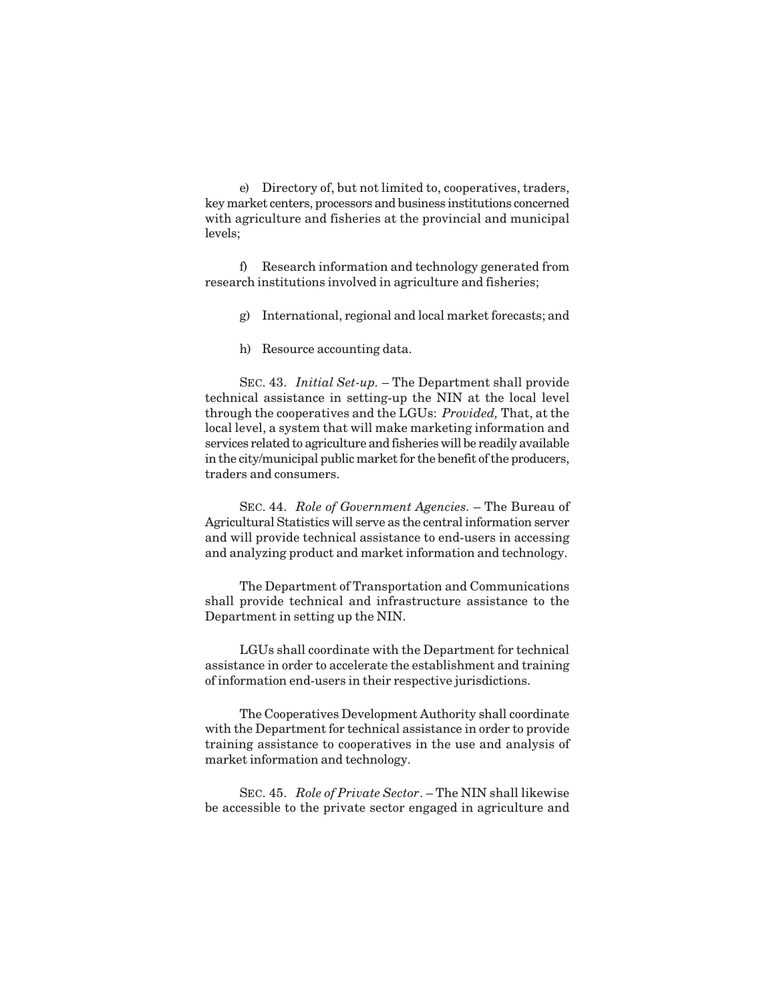e) Directory of, but not limited to, cooperatives, traders, key market centers, processors and business institutions concerned with agriculture and fisheries at the provincial and municipal levels;

f) Research information and technology generated from research institutions involved in agriculture and fisheries;

- g) International, regional and local market forecasts; and
- h) Resource accounting data.

SEC. 43. *Initial Set-up.* – The Department shall provide technical assistance in setting-up the NIN at the local level through the cooperatives and the LGUs: *Provided,* That, at the local level, a system that will make marketing information and services related to agriculture and fisheries will be readily available in the city/municipal public market for the benefit of the producers, traders and consumers.

SEC. 44. *Role of Government Agencies.* – The Bureau of Agricultural Statistics will serve as the central information server and will provide technical assistance to end-users in accessing and analyzing product and market information and technology.

The Department of Transportation and Communications shall provide technical and infrastructure assistance to the Department in setting up the NIN.

LGUs shall coordinate with the Department for technical assistance in order to accelerate the establishment and training of information end-users in their respective jurisdictions.

The Cooperatives Development Authority shall coordinate with the Department for technical assistance in order to provide training assistance to cooperatives in the use and analysis of market information and technology.

SEC. 45. *Role of Private Sector*. – The NIN shall likewise be accessible to the private sector engaged in agriculture and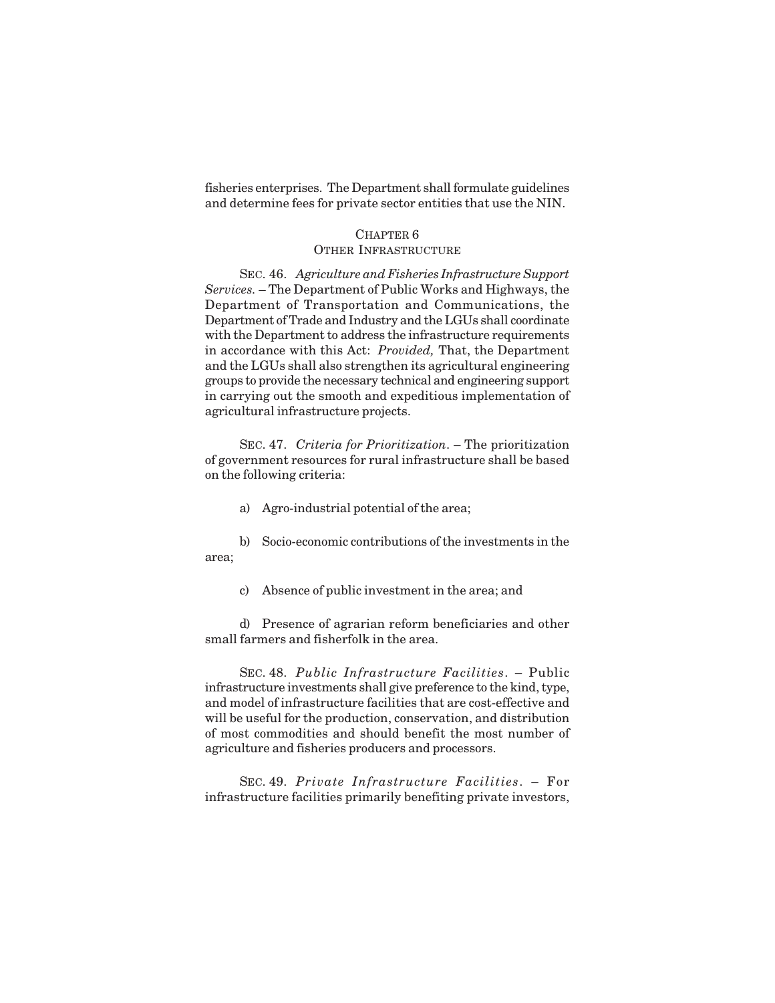fisheries enterprises. The Department shall formulate guidelines and determine fees for private sector entities that use the NIN.

#### CHAPTER 6 OTHER INFRASTRUCTURE

SEC. 46. *Agriculture and Fisheries Infrastructure Support Services.* – The Department of Public Works and Highways, the Department of Transportation and Communications, the Department of Trade and Industry and the LGUs shall coordinate with the Department to address the infrastructure requirements in accordance with this Act: *Provided,* That, the Department and the LGUs shall also strengthen its agricultural engineering groups to provide the necessary technical and engineering support in carrying out the smooth and expeditious implementation of agricultural infrastructure projects.

SEC. 47. *Criteria for Prioritization*. – The prioritization of government resources for rural infrastructure shall be based on the following criteria:

- a) Agro-industrial potential of the area;
- b) Socio-economic contributions of the investments in the area;
	- c) Absence of public investment in the area; and

d) Presence of agrarian reform beneficiaries and other small farmers and fisherfolk in the area.

SEC. 48. *Public Infrastructure Facilities*. – Public infrastructure investments shall give preference to the kind, type, and model of infrastructure facilities that are cost-effective and will be useful for the production, conservation, and distribution of most commodities and should benefit the most number of agriculture and fisheries producers and processors.

SEC. 49. *Private Infrastructure Facilities*. – For infrastructure facilities primarily benefiting private investors,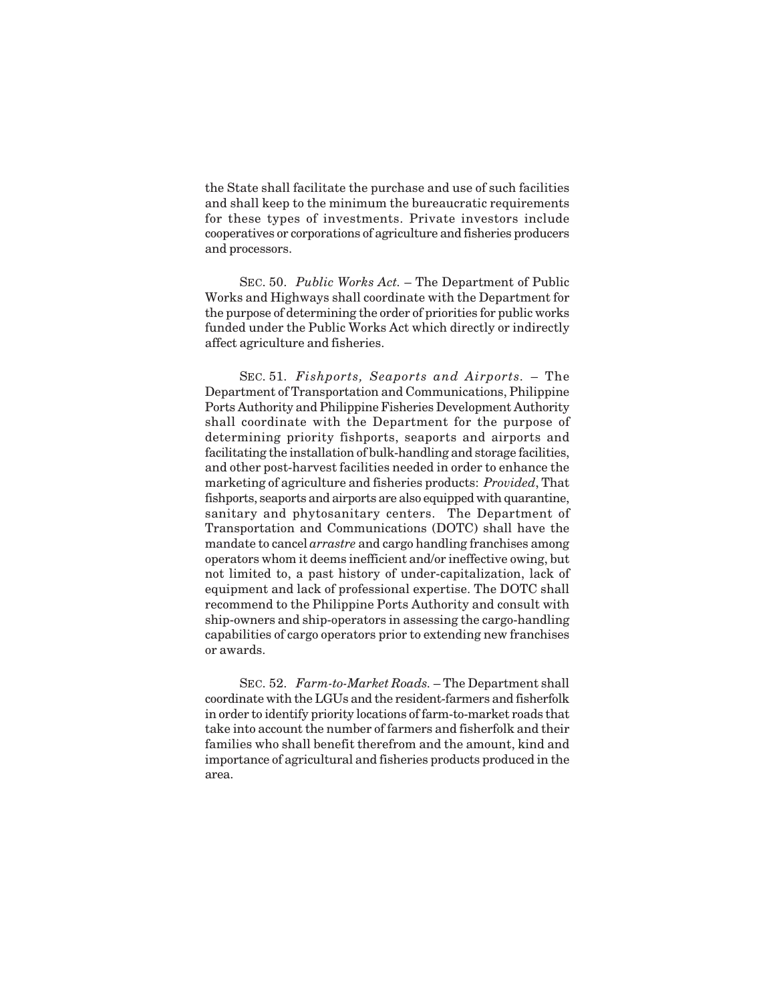the State shall facilitate the purchase and use of such facilities and shall keep to the minimum the bureaucratic requirements for these types of investments. Private investors include cooperatives or corporations of agriculture and fisheries producers and processors.

SEC. 50. *Public Works Act.* – The Department of Public Works and Highways shall coordinate with the Department for the purpose of determining the order of priorities for public works funded under the Public Works Act which directly or indirectly affect agriculture and fisheries.

SEC. 51. *Fishports, Seaports and Airports.* – The Department of Transportation and Communications, Philippine Ports Authority and Philippine Fisheries Development Authority shall coordinate with the Department for the purpose of determining priority fishports, seaports and airports and facilitating the installation of bulk-handling and storage facilities, and other post-harvest facilities needed in order to enhance the marketing of agriculture and fisheries products: *Provided*, That fishports, seaports and airports are also equipped with quarantine, sanitary and phytosanitary centers. The Department of Transportation and Communications (DOTC) shall have the mandate to cancel *arrastre* and cargo handling franchises among operators whom it deems inefficient and/or ineffective owing, but not limited to, a past history of under-capitalization, lack of equipment and lack of professional expertise. The DOTC shall recommend to the Philippine Ports Authority and consult with ship-owners and ship-operators in assessing the cargo-handling capabilities of cargo operators prior to extending new franchises or awards.

SEC. 52. *Farm-to-Market Roads.* – The Department shall coordinate with the LGUs and the resident-farmers and fisherfolk in order to identify priority locations of farm-to-market roads that take into account the number of farmers and fisherfolk and their families who shall benefit therefrom and the amount, kind and importance of agricultural and fisheries products produced in the area.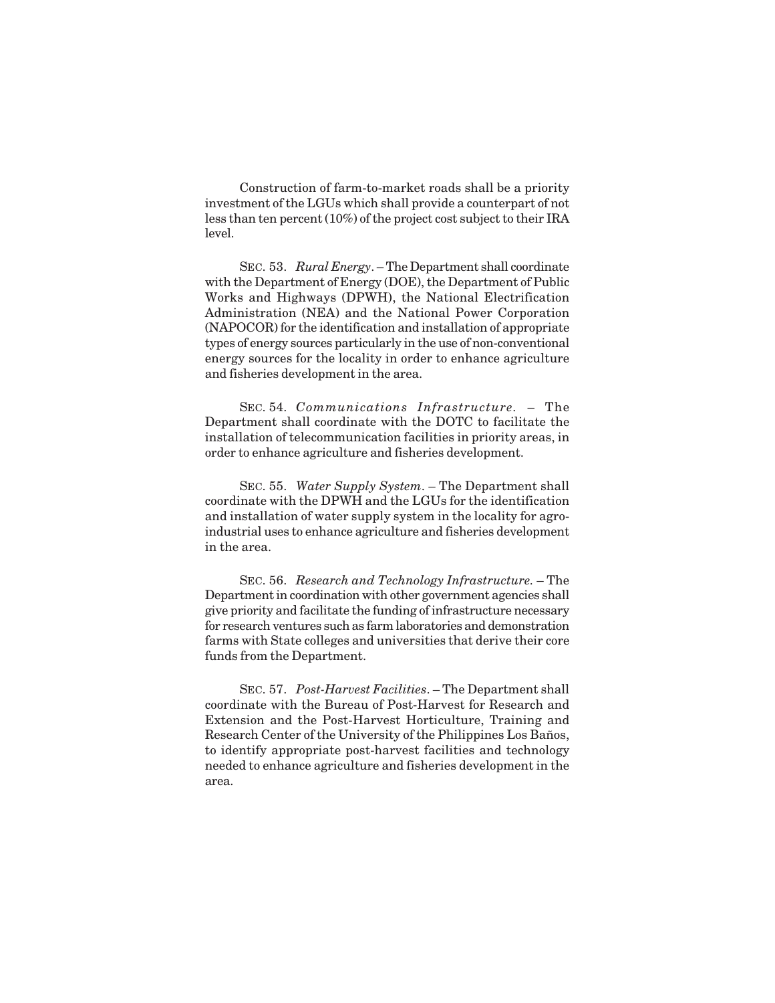Construction of farm-to-market roads shall be a priority investment of the LGUs which shall provide a counterpart of not less than ten percent (10%) of the project cost subject to their IRA level.

SEC. 53. *Rural Energy*. – The Department shall coordinate with the Department of Energy (DOE), the Department of Public Works and Highways (DPWH), the National Electrification Administration (NEA) and the National Power Corporation (NAPOCOR) for the identification and installation of appropriate types of energy sources particularly in the use of non-conventional energy sources for the locality in order to enhance agriculture and fisheries development in the area.

SEC. 54. *Communications Infrastructure.* – The Department shall coordinate with the DOTC to facilitate the installation of telecommunication facilities in priority areas, in order to enhance agriculture and fisheries development.

SEC. 55. *Water Supply System*. – The Department shall coordinate with the DPWH and the LGUs for the identification and installation of water supply system in the locality for agroindustrial uses to enhance agriculture and fisheries development in the area.

SEC. 56. *Research and Technology Infrastructure.* – The Department in coordination with other government agencies shall give priority and facilitate the funding of infrastructure necessary for research ventures such as farm laboratories and demonstration farms with State colleges and universities that derive their core funds from the Department.

SEC. 57. *Post-Harvest Facilities*. – The Department shall coordinate with the Bureau of Post-Harvest for Research and Extension and the Post-Harvest Horticulture, Training and Research Center of the University of the Philippines Los Baños, to identify appropriate post-harvest facilities and technology needed to enhance agriculture and fisheries development in the area.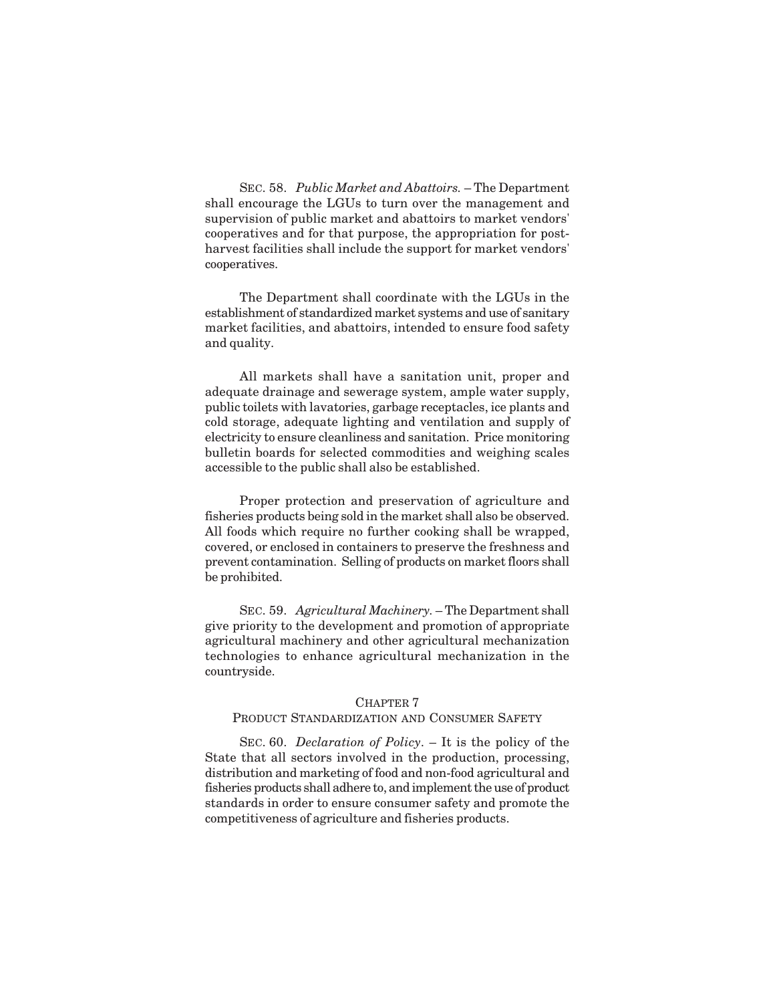SEC. 58. *Public Market and Abattoirs.* – The Department shall encourage the LGUs to turn over the management and supervision of public market and abattoirs to market vendors' cooperatives and for that purpose, the appropriation for postharvest facilities shall include the support for market vendors' cooperatives.

The Department shall coordinate with the LGUs in the establishment of standardized market systems and use of sanitary market facilities, and abattoirs, intended to ensure food safety and quality.

All markets shall have a sanitation unit, proper and adequate drainage and sewerage system, ample water supply, public toilets with lavatories, garbage receptacles, ice plants and cold storage, adequate lighting and ventilation and supply of electricity to ensure cleanliness and sanitation. Price monitoring bulletin boards for selected commodities and weighing scales accessible to the public shall also be established.

Proper protection and preservation of agriculture and fisheries products being sold in the market shall also be observed. All foods which require no further cooking shall be wrapped, covered, or enclosed in containers to preserve the freshness and prevent contamination. Selling of products on market floors shall be prohibited.

SEC. 59. *Agricultural Machinery.* – The Department shall give priority to the development and promotion of appropriate agricultural machinery and other agricultural mechanization technologies to enhance agricultural mechanization in the countryside.

#### CHAPTER 7

#### PRODUCT STANDARDIZATION AND CONSUMER SAFETY

SEC. 60. *Declaration of Policy*. – It is the policy of the State that all sectors involved in the production, processing, distribution and marketing of food and non-food agricultural and fisheries products shall adhere to, and implement the use of product standards in order to ensure consumer safety and promote the competitiveness of agriculture and fisheries products.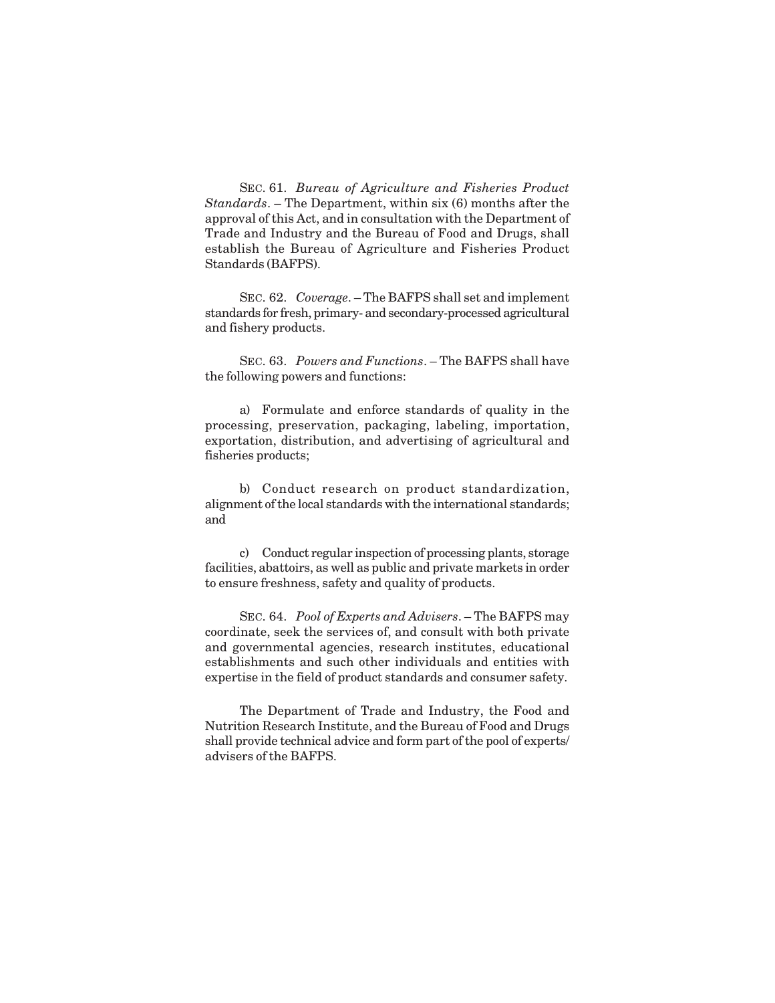SEC. 61. *Bureau of Agriculture and Fisheries Product Standards*. – The Department, within six (6) months after the approval of this Act, and in consultation with the Department of Trade and Industry and the Bureau of Food and Drugs, shall establish the Bureau of Agriculture and Fisheries Product Standards (BAFPS).

SEC. 62. *Coverage*. – The BAFPS shall set and implement standards for fresh, primary- and secondary-processed agricultural and fishery products.

SEC. 63. *Powers and Functions*. – The BAFPS shall have the following powers and functions:

a) Formulate and enforce standards of quality in the processing, preservation, packaging, labeling, importation, exportation, distribution, and advertising of agricultural and fisheries products;

b) Conduct research on product standardization, alignment of the local standards with the international standards; and

c) Conduct regular inspection of processing plants, storage facilities, abattoirs, as well as public and private markets in order to ensure freshness, safety and quality of products.

SEC. 64. *Pool of Experts and Advisers*. – The BAFPS may coordinate, seek the services of, and consult with both private and governmental agencies, research institutes, educational establishments and such other individuals and entities with expertise in the field of product standards and consumer safety.

The Department of Trade and Industry, the Food and Nutrition Research Institute, and the Bureau of Food and Drugs shall provide technical advice and form part of the pool of experts/ advisers of the BAFPS.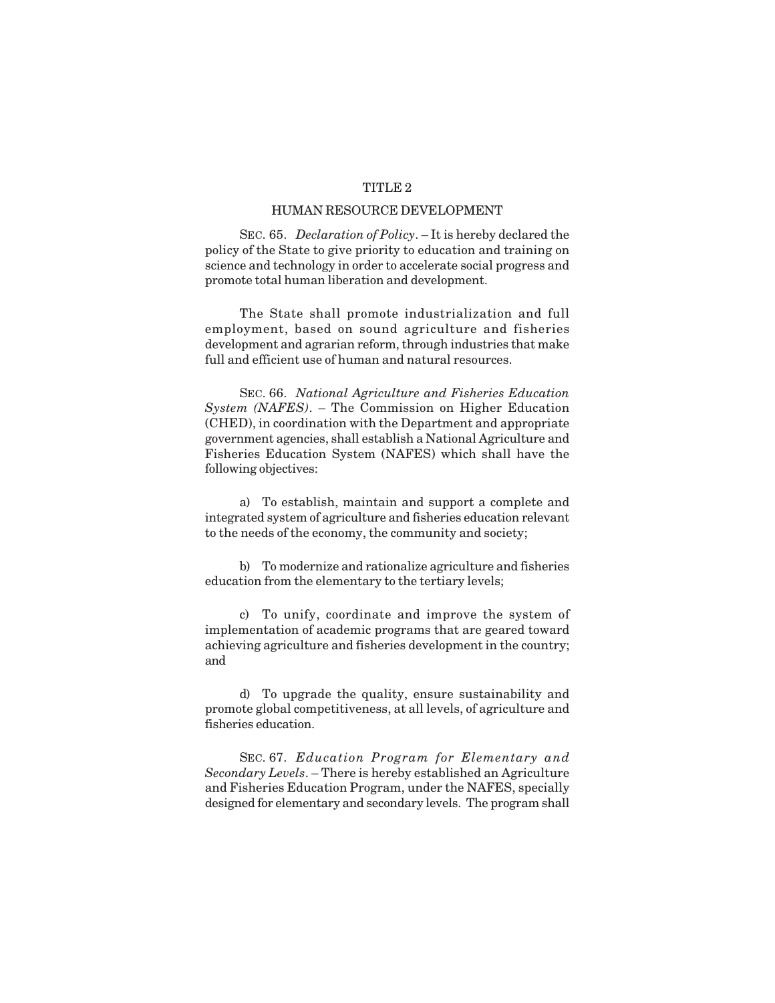## TITLE 2

#### HUMAN RESOURCE DEVELOPMENT

SEC. 65. *Declaration of Policy*. – It is hereby declared the policy of the State to give priority to education and training on science and technology in order to accelerate social progress and promote total human liberation and development.

The State shall promote industrialization and full employment, based on sound agriculture and fisheries development and agrarian reform, through industries that make full and efficient use of human and natural resources.

SEC. 66. *National Agriculture and Fisheries Education System (NAFES)*. – The Commission on Higher Education (CHED), in coordination with the Department and appropriate government agencies, shall establish a National Agriculture and Fisheries Education System (NAFES) which shall have the following objectives:

a) To establish, maintain and support a complete and integrated system of agriculture and fisheries education relevant to the needs of the economy, the community and society;

b) To modernize and rationalize agriculture and fisheries education from the elementary to the tertiary levels;

c) To unify, coordinate and improve the system of implementation of academic programs that are geared toward achieving agriculture and fisheries development in the country; and

d) To upgrade the quality, ensure sustainability and promote global competitiveness, at all levels, of agriculture and fisheries education.

SEC. 67. *Education Program for Elementary and Secondary Levels*. – There is hereby established an Agriculture and Fisheries Education Program, under the NAFES, specially designed for elementary and secondary levels. The program shall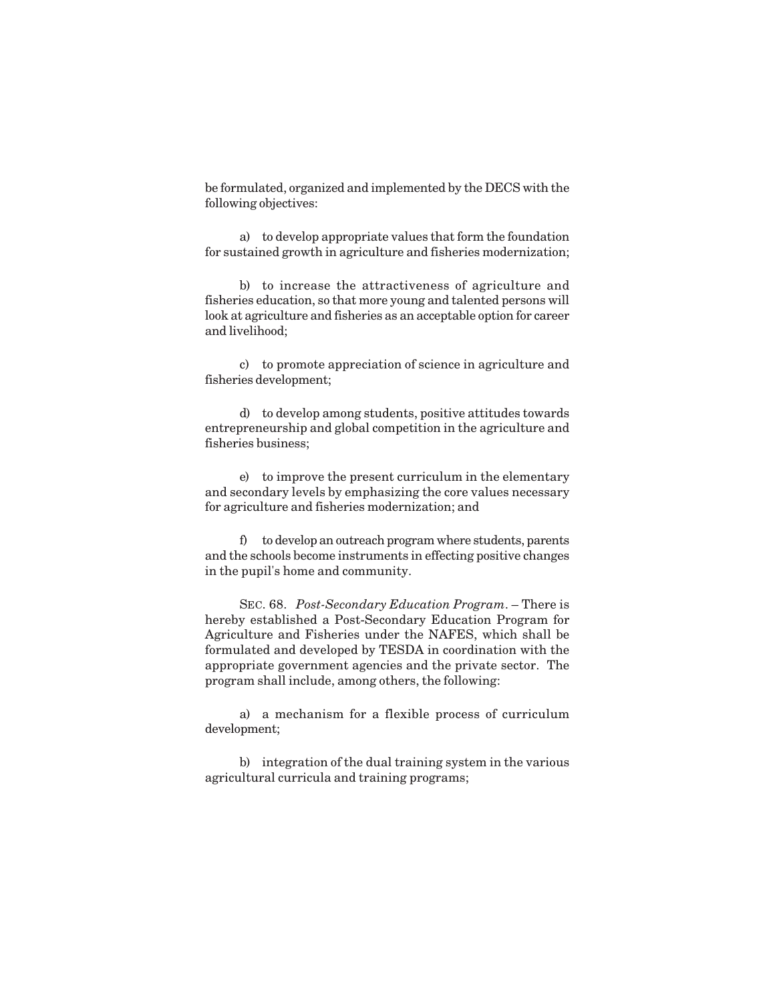be formulated, organized and implemented by the DECS with the following objectives:

a) to develop appropriate values that form the foundation for sustained growth in agriculture and fisheries modernization;

b) to increase the attractiveness of agriculture and fisheries education, so that more young and talented persons will look at agriculture and fisheries as an acceptable option for career and livelihood;

c) to promote appreciation of science in agriculture and fisheries development;

d) to develop among students, positive attitudes towards entrepreneurship and global competition in the agriculture and fisheries business;

e) to improve the present curriculum in the elementary and secondary levels by emphasizing the core values necessary for agriculture and fisheries modernization; and

f) to develop an outreach program where students, parents and the schools become instruments in effecting positive changes in the pupil's home and community.

SEC. 68. *Post-Secondary Education Program*. – There is hereby established a Post-Secondary Education Program for Agriculture and Fisheries under the NAFES, which shall be formulated and developed by TESDA in coordination with the appropriate government agencies and the private sector. The program shall include, among others, the following:

a) a mechanism for a flexible process of curriculum development;

b) integration of the dual training system in the various agricultural curricula and training programs;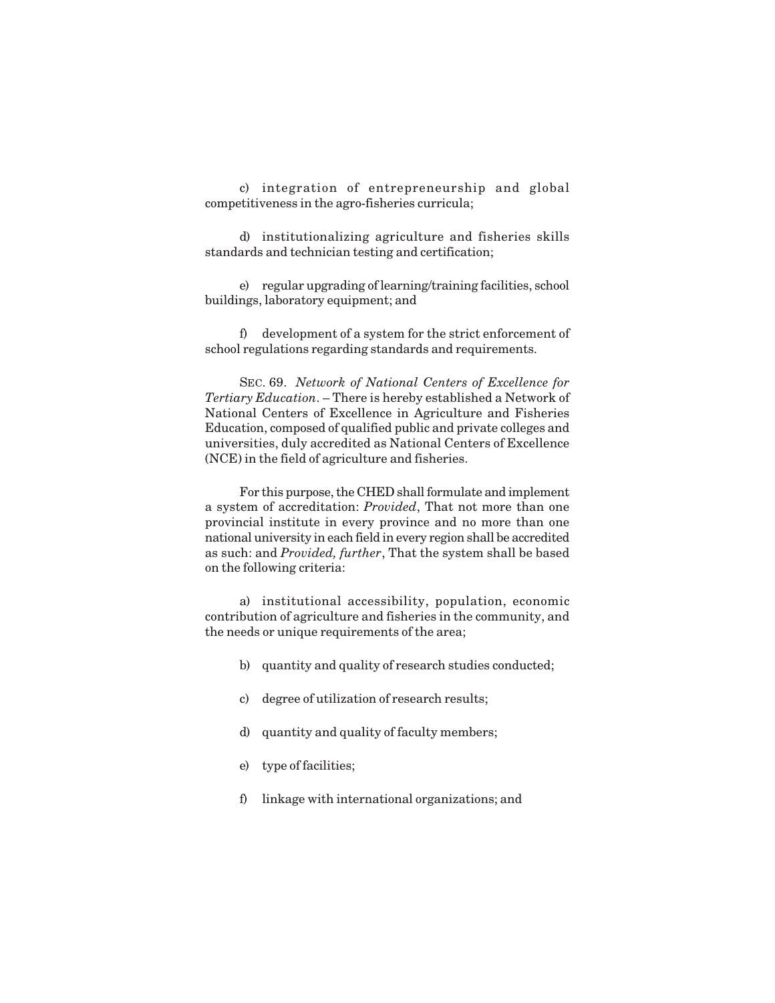c) integration of entrepreneurship and global competitiveness in the agro-fisheries curricula;

d) institutionalizing agriculture and fisheries skills standards and technician testing and certification;

e) regular upgrading of learning/training facilities, school buildings, laboratory equipment; and

f) development of a system for the strict enforcement of school regulations regarding standards and requirements.

SEC. 69. *Network of National Centers of Excellence for Tertiary Education*. – There is hereby established a Network of National Centers of Excellence in Agriculture and Fisheries Education, composed of qualified public and private colleges and universities, duly accredited as National Centers of Excellence (NCE) in the field of agriculture and fisheries.

For this purpose, the CHED shall formulate and implement a system of accreditation: *Provided*, That not more than one provincial institute in every province and no more than one national university in each field in every region shall be accredited as such: and *Provided, further*, That the system shall be based on the following criteria:

a) institutional accessibility, population, economic contribution of agriculture and fisheries in the community, and the needs or unique requirements of the area;

- b) quantity and quality of research studies conducted;
- c) degree of utilization of research results;
- d) quantity and quality of faculty members;
- e) type of facilities;
- f) linkage with international organizations; and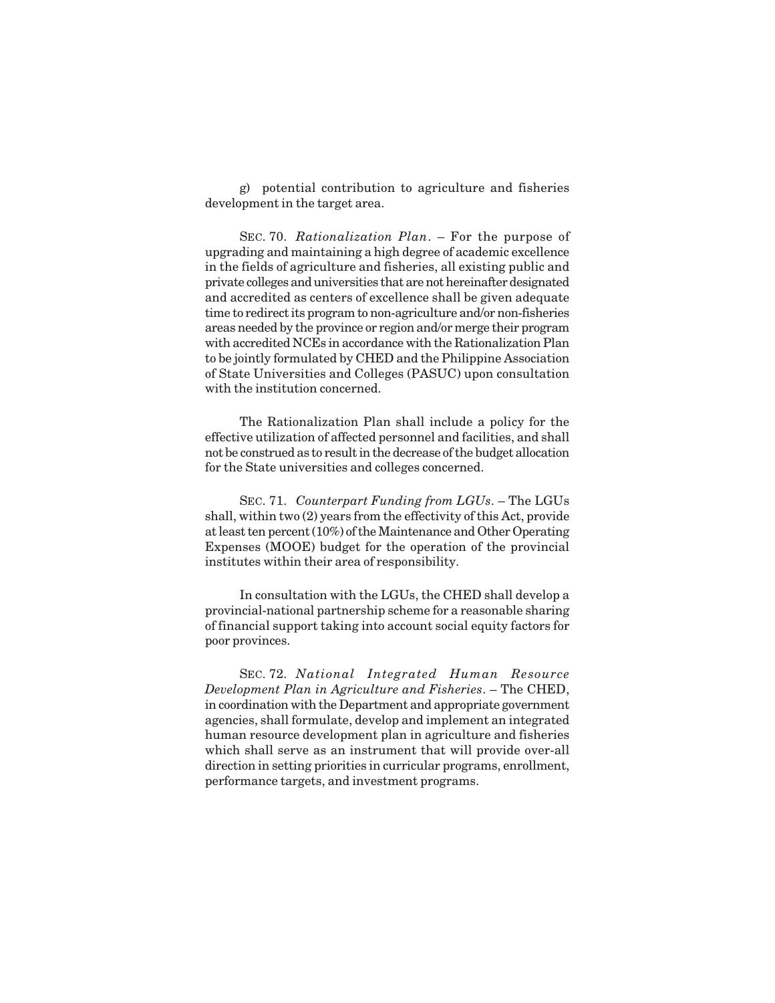g) potential contribution to agriculture and fisheries development in the target area.

SEC. 70. *Rationalization Plan*. – For the purpose of upgrading and maintaining a high degree of academic excellence in the fields of agriculture and fisheries, all existing public and private colleges and universities that are not hereinafter designated and accredited as centers of excellence shall be given adequate time to redirect its program to non-agriculture and/or non-fisheries areas needed by the province or region and/or merge their program with accredited NCEs in accordance with the Rationalization Plan to be jointly formulated by CHED and the Philippine Association of State Universities and Colleges (PASUC) upon consultation with the institution concerned.

The Rationalization Plan shall include a policy for the effective utilization of affected personnel and facilities, and shall not be construed as to result in the decrease of the budget allocation for the State universities and colleges concerned.

SEC. 71. *Counterpart Funding from LGUs*. – The LGUs shall, within two (2) years from the effectivity of this Act, provide at least ten percent (10%) of the Maintenance and Other Operating Expenses (MOOE) budget for the operation of the provincial institutes within their area of responsibility.

In consultation with the LGUs, the CHED shall develop a provincial-national partnership scheme for a reasonable sharing of financial support taking into account social equity factors for poor provinces.

SEC. 72. *National Integrated Human Resource Development Plan in Agriculture and Fisheries*. – The CHED, in coordination with the Department and appropriate government agencies, shall formulate, develop and implement an integrated human resource development plan in agriculture and fisheries which shall serve as an instrument that will provide over-all direction in setting priorities in curricular programs, enrollment, performance targets, and investment programs.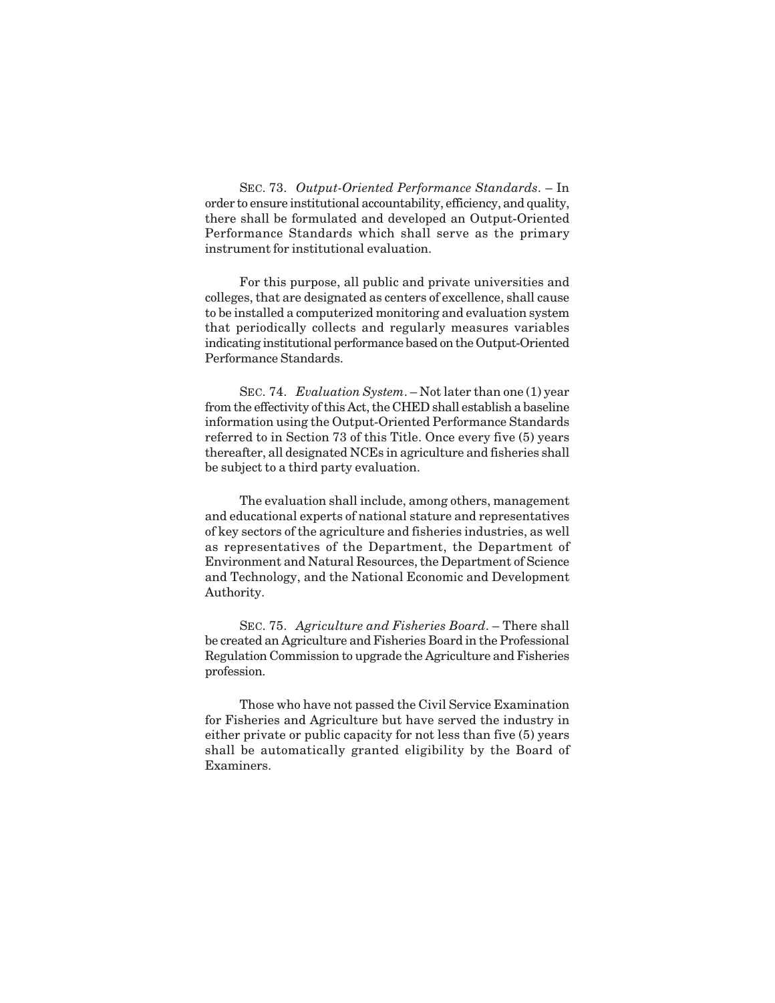SEC. 73. *Output-Oriented Performance Standards*. – In order to ensure institutional accountability, efficiency, and quality, there shall be formulated and developed an Output-Oriented Performance Standards which shall serve as the primary instrument for institutional evaluation.

For this purpose, all public and private universities and colleges, that are designated as centers of excellence, shall cause to be installed a computerized monitoring and evaluation system that periodically collects and regularly measures variables indicating institutional performance based on the Output-Oriented Performance Standards.

SEC. 74. *Evaluation System*. – Not later than one (1) year from the effectivity of this Act, the CHED shall establish a baseline information using the Output-Oriented Performance Standards referred to in Section 73 of this Title. Once every five (5) years thereafter, all designated NCEs in agriculture and fisheries shall be subject to a third party evaluation.

The evaluation shall include, among others, management and educational experts of national stature and representatives of key sectors of the agriculture and fisheries industries, as well as representatives of the Department, the Department of Environment and Natural Resources, the Department of Science and Technology, and the National Economic and Development Authority.

SEC. 75. *Agriculture and Fisheries Board*. – There shall be created an Agriculture and Fisheries Board in the Professional Regulation Commission to upgrade the Agriculture and Fisheries profession.

Those who have not passed the Civil Service Examination for Fisheries and Agriculture but have served the industry in either private or public capacity for not less than five (5) years shall be automatically granted eligibility by the Board of Examiners.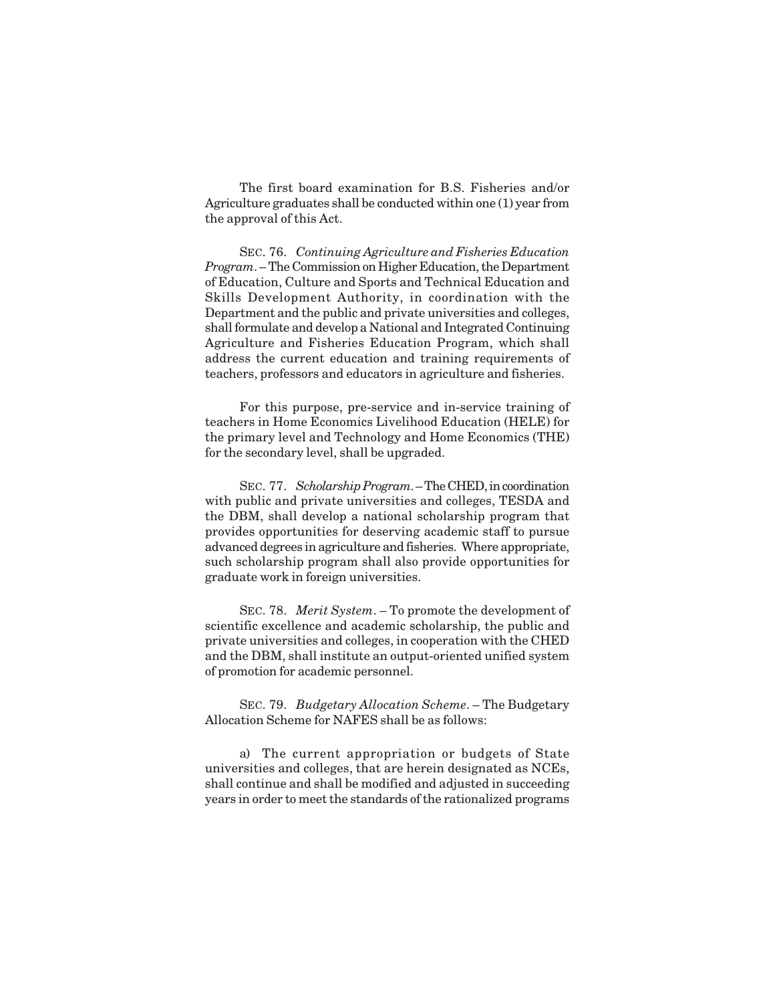The first board examination for B.S. Fisheries and/or Agriculture graduates shall be conducted within one (1) year from the approval of this Act.

SEC. 76. *Continuing Agriculture and Fisheries Education Program*. – The Commission on Higher Education, the Department of Education, Culture and Sports and Technical Education and Skills Development Authority, in coordination with the Department and the public and private universities and colleges, shall formulate and develop a National and Integrated Continuing Agriculture and Fisheries Education Program, which shall address the current education and training requirements of teachers, professors and educators in agriculture and fisheries.

For this purpose, pre-service and in-service training of teachers in Home Economics Livelihood Education (HELE) for the primary level and Technology and Home Economics (THE) for the secondary level, shall be upgraded.

SEC. 77. *Scholarship Program*. – The CHED, in coordination with public and private universities and colleges, TESDA and the DBM, shall develop a national scholarship program that provides opportunities for deserving academic staff to pursue advanced degrees in agriculture and fisheries. Where appropriate, such scholarship program shall also provide opportunities for graduate work in foreign universities.

SEC. 78. *Merit System*. – To promote the development of scientific excellence and academic scholarship, the public and private universities and colleges, in cooperation with the CHED and the DBM, shall institute an output-oriented unified system of promotion for academic personnel.

SEC. 79. *Budgetary Allocation Scheme*. – The Budgetary Allocation Scheme for NAFES shall be as follows:

a) The current appropriation or budgets of State universities and colleges, that are herein designated as NCEs, shall continue and shall be modified and adjusted in succeeding years in order to meet the standards of the rationalized programs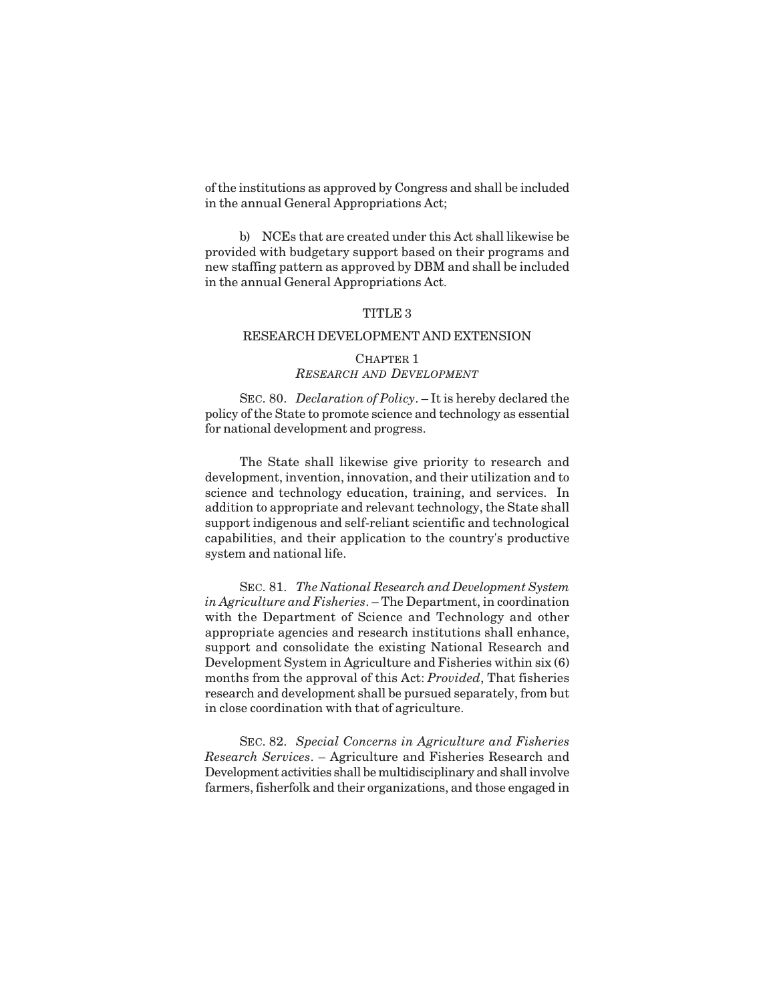of the institutions as approved by Congress and shall be included in the annual General Appropriations Act;

b) NCEs that are created under this Act shall likewise be provided with budgetary support based on their programs and new staffing pattern as approved by DBM and shall be included in the annual General Appropriations Act.

## TITLE 3

#### RESEARCH DEVELOPMENT AND EXTENSION

## CHAPTER 1 *RESEARCH AND DEVELOPMENT*

SEC. 80. *Declaration of Policy*. – It is hereby declared the policy of the State to promote science and technology as essential for national development and progress.

The State shall likewise give priority to research and development, invention, innovation, and their utilization and to science and technology education, training, and services. In addition to appropriate and relevant technology, the State shall support indigenous and self-reliant scientific and technological capabilities, and their application to the country's productive system and national life.

SEC. 81. *The National Research and Development System in Agriculture and Fisheries*. – The Department, in coordination with the Department of Science and Technology and other appropriate agencies and research institutions shall enhance, support and consolidate the existing National Research and Development System in Agriculture and Fisheries within six (6) months from the approval of this Act: *Provided*, That fisheries research and development shall be pursued separately, from but in close coordination with that of agriculture.

SEC. 82. *Special Concerns in Agriculture and Fisheries Research Services*. – Agriculture and Fisheries Research and Development activities shall be multidisciplinary and shall involve farmers, fisherfolk and their organizations, and those engaged in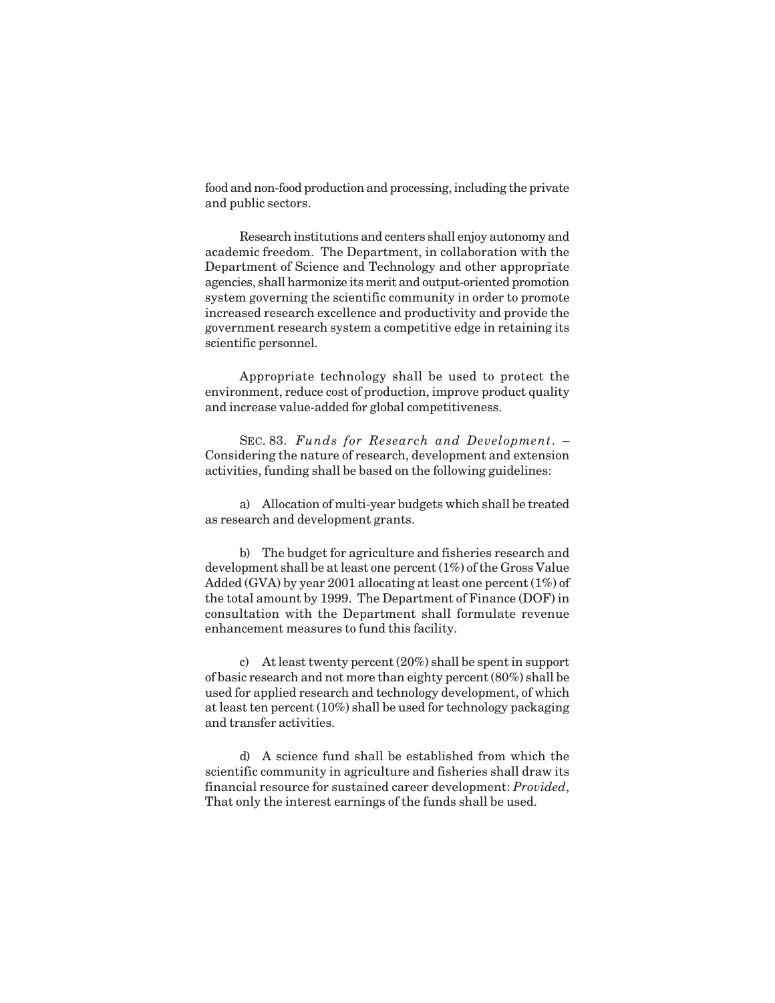food and non-food production and processing, including the private and public sectors.

Research institutions and centers shall enjoy autonomy and academic freedom. The Department, in collaboration with the Department of Science and Technology and other appropriate agencies, shall harmonize its merit and output-oriented promotion system governing the scientific community in order to promote increased research excellence and productivity and provide the government research system a competitive edge in retaining its scientific personnel.

Appropriate technology shall be used to protect the environment, reduce cost of production, improve product quality and increase value-added for global competitiveness.

SEC. 83. *Funds for Research and Development*. – Considering the nature of research, development and extension activities, funding shall be based on the following guidelines:

a) Allocation of multi-year budgets which shall be treated as research and development grants.

b) The budget for agriculture and fisheries research and development shall be at least one percent (1%) of the Gross Value Added (GVA) by year 2001 allocating at least one percent (1%) of the total amount by 1999. The Department of Finance (DOF) in consultation with the Department shall formulate revenue enhancement measures to fund this facility.

c) At least twenty percent (20%) shall be spent in support of basic research and not more than eighty percent (80%) shall be used for applied research and technology development, of which at least ten percent (10%) shall be used for technology packaging and transfer activities.

d) A science fund shall be established from which the scientific community in agriculture and fisheries shall draw its financial resource for sustained career development: *Provided*, That only the interest earnings of the funds shall be used.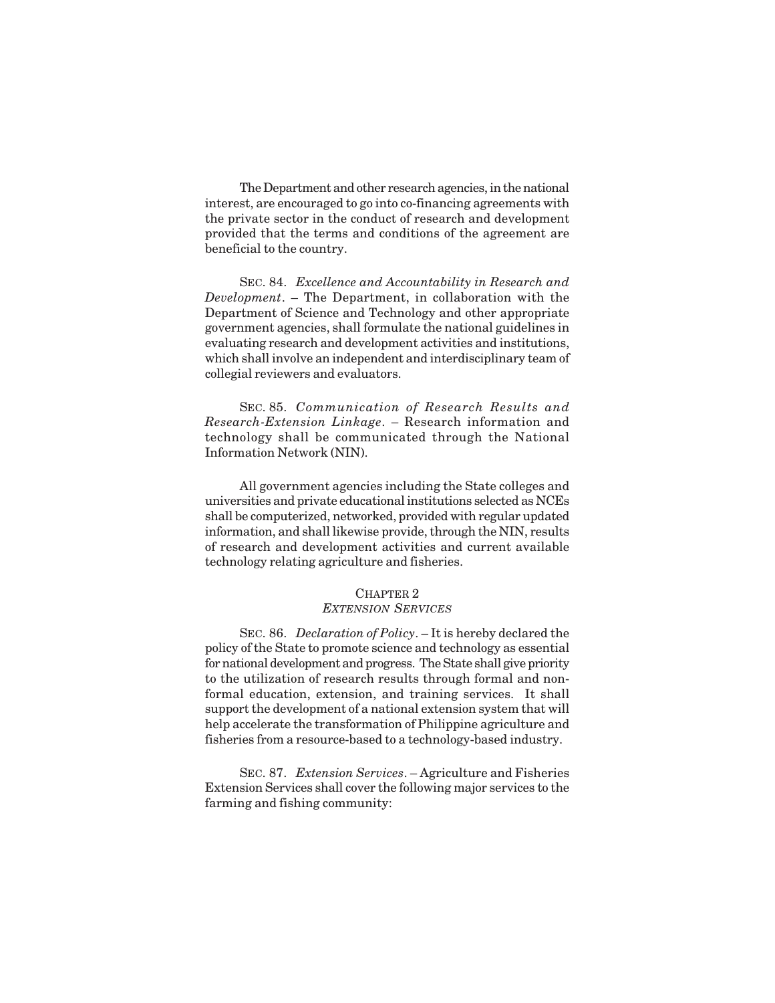The Department and other research agencies, in the national interest, are encouraged to go into co-financing agreements with the private sector in the conduct of research and development provided that the terms and conditions of the agreement are beneficial to the country.

SEC. 84. *Excellence and Accountability in Research and Development*. – The Department, in collaboration with the Department of Science and Technology and other appropriate government agencies, shall formulate the national guidelines in evaluating research and development activities and institutions, which shall involve an independent and interdisciplinary team of collegial reviewers and evaluators.

SEC. 85. *Communication of Research Results and Research-Extension Linkage*. – Research information and technology shall be communicated through the National Information Network (NIN).

All government agencies including the State colleges and universities and private educational institutions selected as NCEs shall be computerized, networked, provided with regular updated information, and shall likewise provide, through the NIN, results of research and development activities and current available technology relating agriculture and fisheries.

# CHAPTER<sub>2</sub>

*EXTENSION SERVICES*

SEC. 86. *Declaration of Policy*. – It is hereby declared the policy of the State to promote science and technology as essential for national development and progress. The State shall give priority to the utilization of research results through formal and nonformal education, extension, and training services. It shall support the development of a national extension system that will help accelerate the transformation of Philippine agriculture and fisheries from a resource-based to a technology-based industry.

SEC. 87. *Extension Services*. – Agriculture and Fisheries Extension Services shall cover the following major services to the farming and fishing community: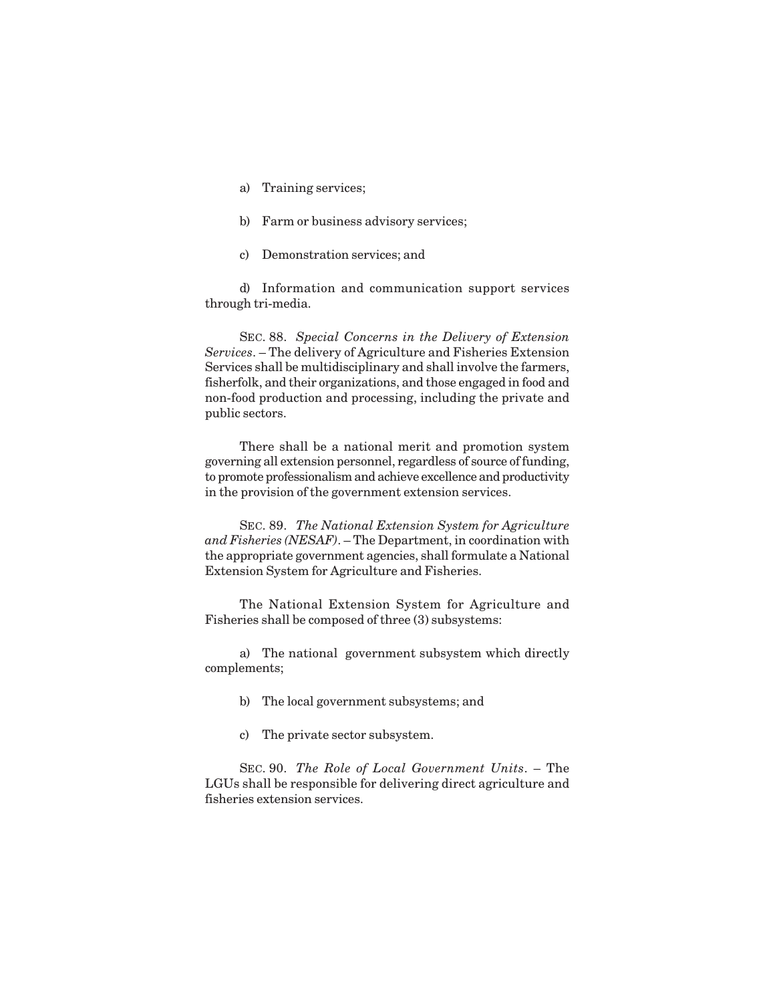- a) Training services;
- b) Farm or business advisory services;
- c) Demonstration services; and

d) Information and communication support services through tri-media.

SEC. 88. *Special Concerns in the Delivery of Extension Services*. – The delivery of Agriculture and Fisheries Extension Services shall be multidisciplinary and shall involve the farmers, fisherfolk, and their organizations, and those engaged in food and non-food production and processing, including the private and public sectors.

There shall be a national merit and promotion system governing all extension personnel, regardless of source of funding, to promote professionalism and achieve excellence and productivity in the provision of the government extension services.

SEC. 89. *The National Extension System for Agriculture and Fisheries (NESAF)*. – The Department, in coordination with the appropriate government agencies, shall formulate a National Extension System for Agriculture and Fisheries.

The National Extension System for Agriculture and Fisheries shall be composed of three (3) subsystems:

a) The national government subsystem which directly complements;

- b) The local government subsystems; and
- c) The private sector subsystem.

SEC. 90. *The Role of Local Government Units*. – The LGUs shall be responsible for delivering direct agriculture and fisheries extension services.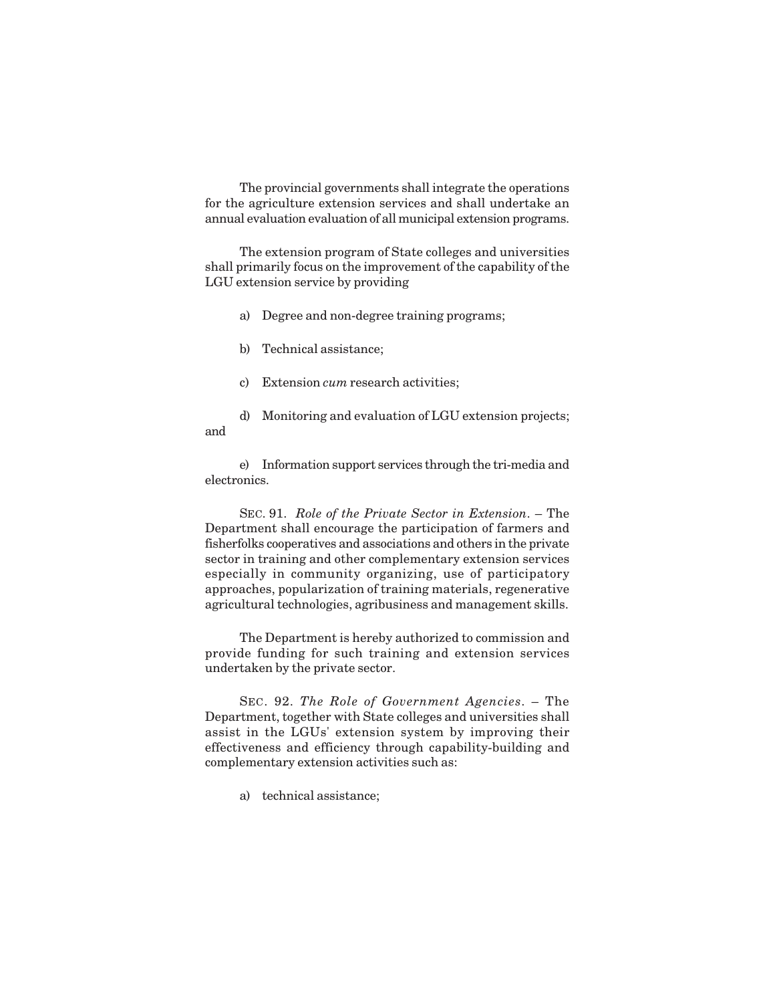The provincial governments shall integrate the operations for the agriculture extension services and shall undertake an annual evaluation evaluation of all municipal extension programs.

The extension program of State colleges and universities shall primarily focus on the improvement of the capability of the LGU extension service by providing

- a) Degree and non-degree training programs;
- b) Technical assistance;
- c) Extension *cum* research activities;

d) Monitoring and evaluation of LGU extension projects; and

e) Information support services through the tri-media and electronics.

SEC. 91. *Role of the Private Sector in Extension*. – The Department shall encourage the participation of farmers and fisherfolks cooperatives and associations and others in the private sector in training and other complementary extension services especially in community organizing, use of participatory approaches, popularization of training materials, regenerative agricultural technologies, agribusiness and management skills.

The Department is hereby authorized to commission and provide funding for such training and extension services undertaken by the private sector.

SEC. 92. *The Role of Government Agencies*. – The Department, together with State colleges and universities shall assist in the LGUs' extension system by improving their effectiveness and efficiency through capability-building and complementary extension activities such as:

a) technical assistance;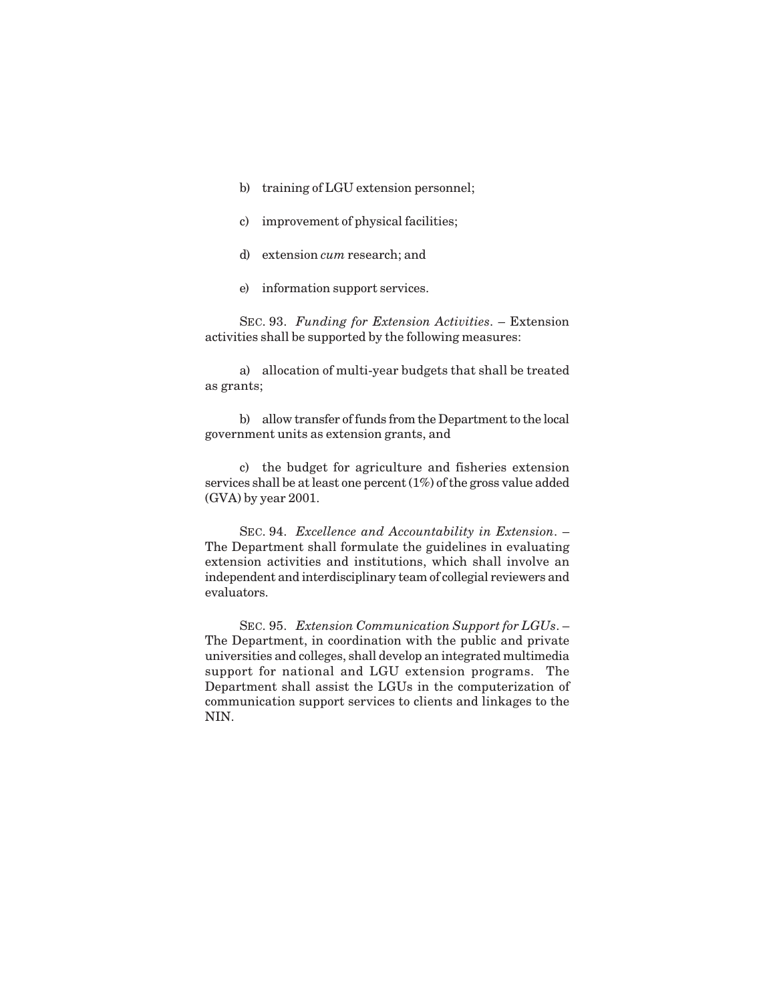- b) training of LGU extension personnel;
- c) improvement of physical facilities;
- d) extension *cum* research; and
- e) information support services.

SEC. 93. *Funding for Extension Activities*. – Extension activities shall be supported by the following measures:

a) allocation of multi-year budgets that shall be treated as grants;

b) allow transfer of funds from the Department to the local government units as extension grants, and

c) the budget for agriculture and fisheries extension services shall be at least one percent (1%) of the gross value added (GVA) by year 2001.

SEC. 94. *Excellence and Accountability in Extension*. – The Department shall formulate the guidelines in evaluating extension activities and institutions, which shall involve an independent and interdisciplinary team of collegial reviewers and evaluators.

SEC. 95. *Extension Communication Support for LGUs*. – The Department, in coordination with the public and private universities and colleges, shall develop an integrated multimedia support for national and LGU extension programs. The Department shall assist the LGUs in the computerization of communication support services to clients and linkages to the NIN.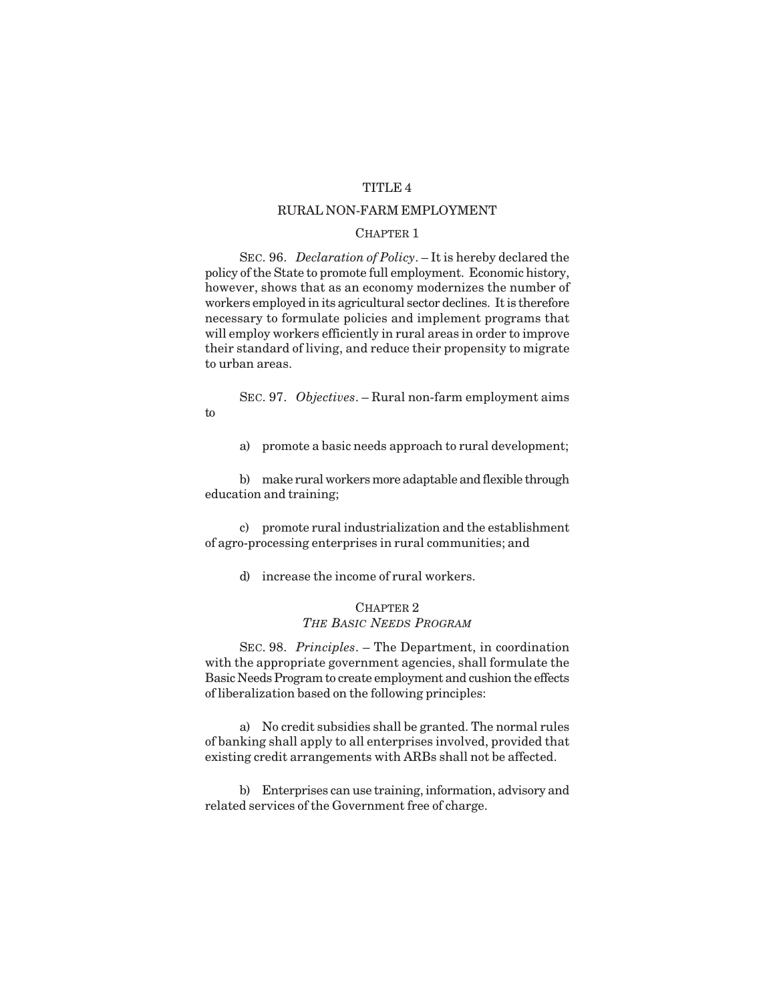## TITLE 4

## RURAL NON-FARM EMPLOYMENT

## CHAPTER 1

SEC. 96. *Declaration of Policy*. – It is hereby declared the policy of the State to promote full employment. Economic history, however, shows that as an economy modernizes the number of workers employed in its agricultural sector declines. It is therefore necessary to formulate policies and implement programs that will employ workers efficiently in rural areas in order to improve their standard of living, and reduce their propensity to migrate to urban areas.

SEC. 97. *Objectives*. – Rural non-farm employment aims to

a) promote a basic needs approach to rural development;

b) make rural workers more adaptable and flexible through education and training;

c) promote rural industrialization and the establishment of agro-processing enterprises in rural communities; and

d) increase the income of rural workers.

## CHAPTER 2 *THE BASIC NEEDS PROGRAM*

SEC. 98. *Principles*. – The Department, in coordination with the appropriate government agencies, shall formulate the Basic Needs Program to create employment and cushion the effects of liberalization based on the following principles:

a) No credit subsidies shall be granted. The normal rules of banking shall apply to all enterprises involved, provided that existing credit arrangements with ARBs shall not be affected.

b) Enterprises can use training, information, advisory and related services of the Government free of charge.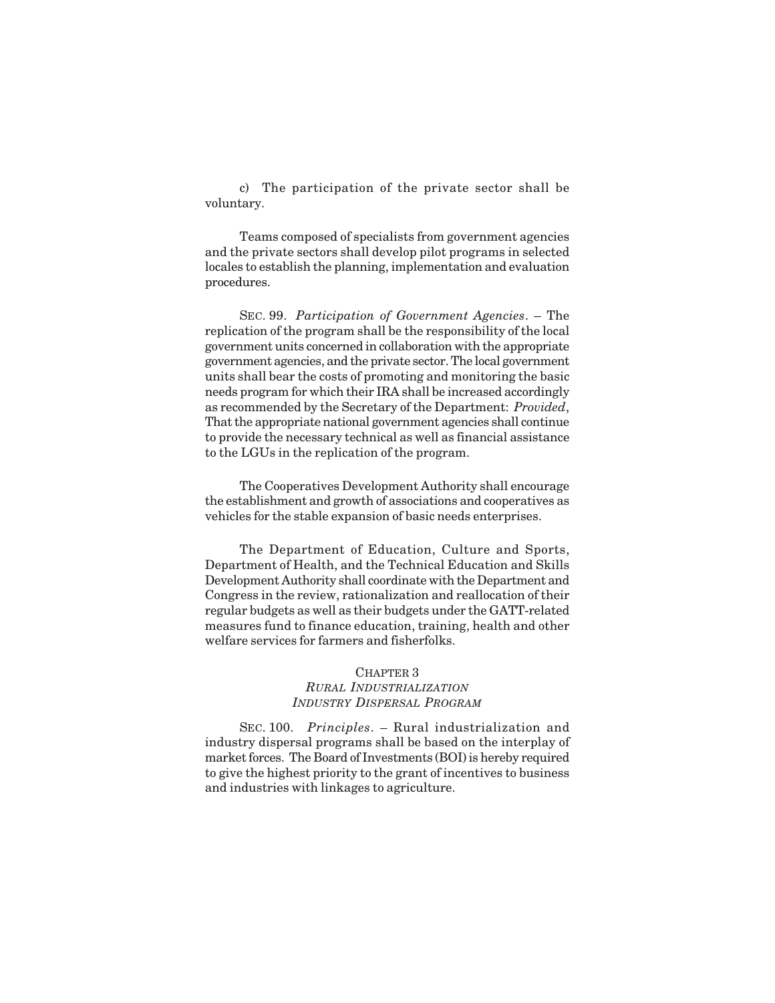c) The participation of the private sector shall be voluntary.

Teams composed of specialists from government agencies and the private sectors shall develop pilot programs in selected locales to establish the planning, implementation and evaluation procedures.

SEC. 99. *Participation of Government Agencies*. – The replication of the program shall be the responsibility of the local government units concerned in collaboration with the appropriate government agencies, and the private sector. The local government units shall bear the costs of promoting and monitoring the basic needs program for which their IRA shall be increased accordingly as recommended by the Secretary of the Department: *Provided*, That the appropriate national government agencies shall continue to provide the necessary technical as well as financial assistance to the LGUs in the replication of the program.

The Cooperatives Development Authority shall encourage the establishment and growth of associations and cooperatives as vehicles for the stable expansion of basic needs enterprises.

The Department of Education, Culture and Sports, Department of Health, and the Technical Education and Skills Development Authority shall coordinate with the Department and Congress in the review, rationalization and reallocation of their regular budgets as well as their budgets under the GATT-related measures fund to finance education, training, health and other welfare services for farmers and fisherfolks.

## CHAPTER 3

## *RURAL INDUSTRIALIZATION INDUSTRY DISPERSAL PROGRAM*

SEC. 100. *Principles*. – Rural industrialization and industry dispersal programs shall be based on the interplay of market forces. The Board of Investments (BOI) is hereby required to give the highest priority to the grant of incentives to business and industries with linkages to agriculture.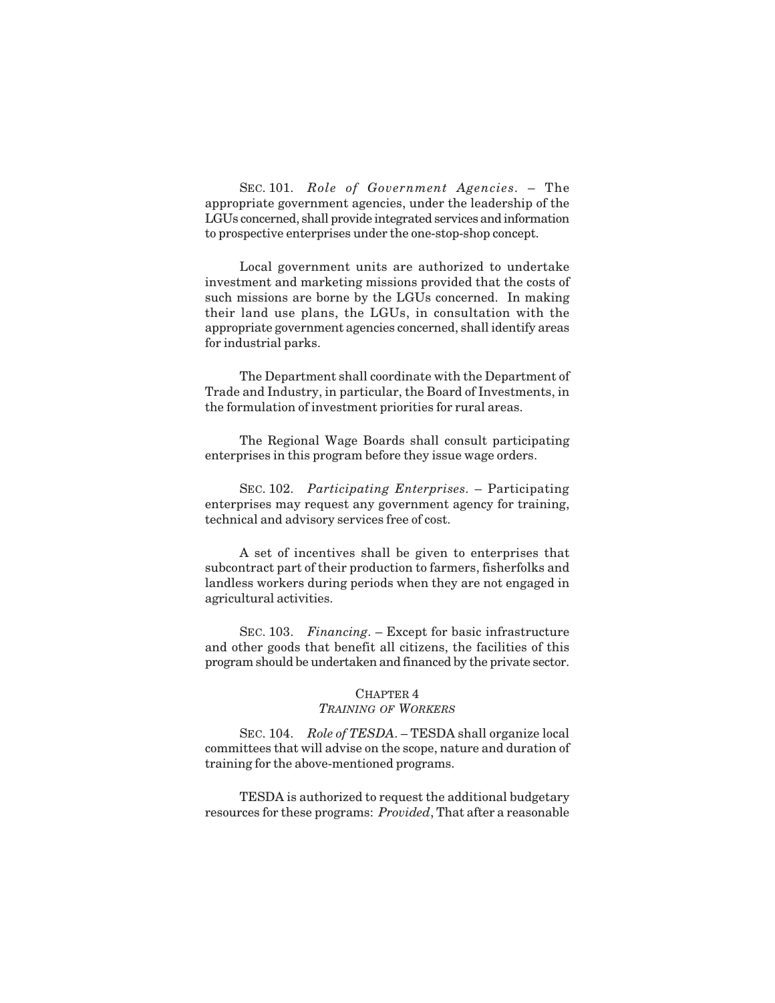SEC. 101. *Role of Government Agencies*. – The appropriate government agencies, under the leadership of the LGUs concerned, shall provide integrated services and information to prospective enterprises under the one-stop-shop concept.

Local government units are authorized to undertake investment and marketing missions provided that the costs of such missions are borne by the LGUs concerned. In making their land use plans, the LGUs, in consultation with the appropriate government agencies concerned, shall identify areas for industrial parks.

The Department shall coordinate with the Department of Trade and Industry, in particular, the Board of Investments, in the formulation of investment priorities for rural areas.

The Regional Wage Boards shall consult participating enterprises in this program before they issue wage orders.

SEC. 102. *Participating Enterprises*. – Participating enterprises may request any government agency for training, technical and advisory services free of cost.

A set of incentives shall be given to enterprises that subcontract part of their production to farmers, fisherfolks and landless workers during periods when they are not engaged in agricultural activities.

SEC. 103. *Financing*. – Except for basic infrastructure and other goods that benefit all citizens, the facilities of this program should be undertaken and financed by the private sector.

#### CHAPTER 4

#### *TRAINING OF WORKERS*

SEC. 104. *Role of TESDA*. – TESDA shall organize local committees that will advise on the scope, nature and duration of training for the above-mentioned programs.

TESDA is authorized to request the additional budgetary resources for these programs: *Provided*, That after a reasonable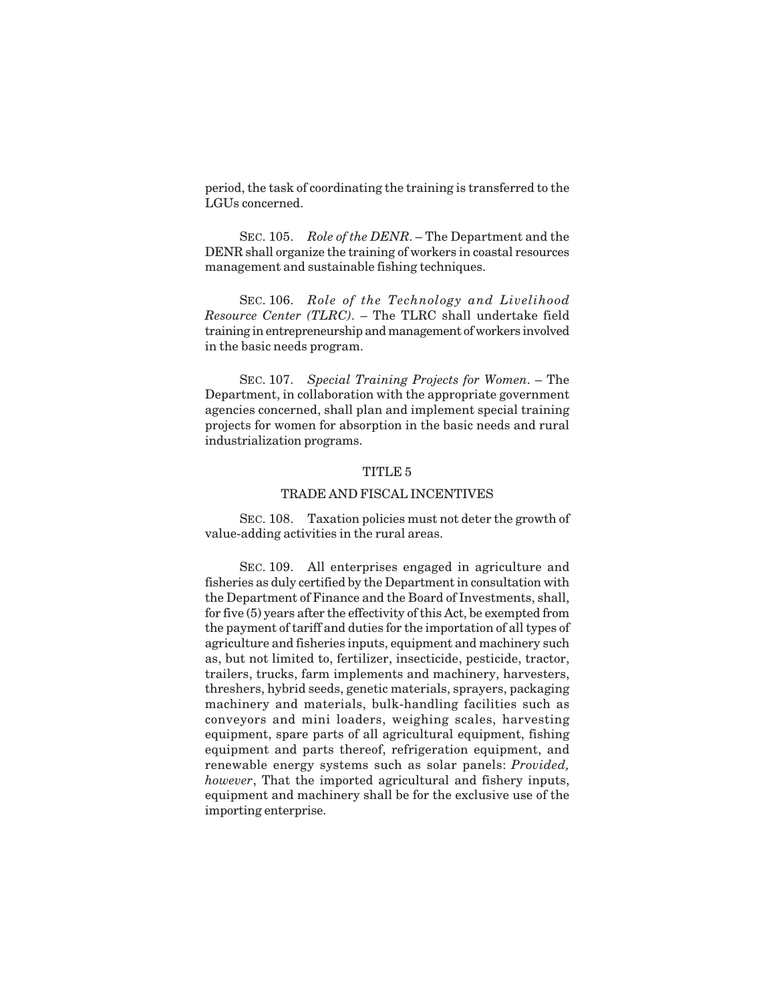period, the task of coordinating the training is transferred to the LGUs concerned.

SEC. 105. *Role of the DENR*. – The Department and the DENR shall organize the training of workers in coastal resources management and sustainable fishing techniques.

SEC. 106. *Role of the Technology and Livelihood Resource Center (TLRC)*. – The TLRC shall undertake field training in entrepreneurship and management of workers involved in the basic needs program.

SEC. 107. *Special Training Projects for Women*. – The Department, in collaboration with the appropriate government agencies concerned, shall plan and implement special training projects for women for absorption in the basic needs and rural industrialization programs.

#### TITLE 5

#### TRADE AND FISCAL INCENTIVES

SEC. 108. Taxation policies must not deter the growth of value-adding activities in the rural areas.

SEC. 109. All enterprises engaged in agriculture and fisheries as duly certified by the Department in consultation with the Department of Finance and the Board of Investments, shall, for five (5) years after the effectivity of this Act, be exempted from the payment of tariff and duties for the importation of all types of agriculture and fisheries inputs, equipment and machinery such as, but not limited to, fertilizer, insecticide, pesticide, tractor, trailers, trucks, farm implements and machinery, harvesters, threshers, hybrid seeds, genetic materials, sprayers, packaging machinery and materials, bulk-handling facilities such as conveyors and mini loaders, weighing scales, harvesting equipment, spare parts of all agricultural equipment, fishing equipment and parts thereof, refrigeration equipment, and renewable energy systems such as solar panels: *Provided, however*, That the imported agricultural and fishery inputs, equipment and machinery shall be for the exclusive use of the importing enterprise.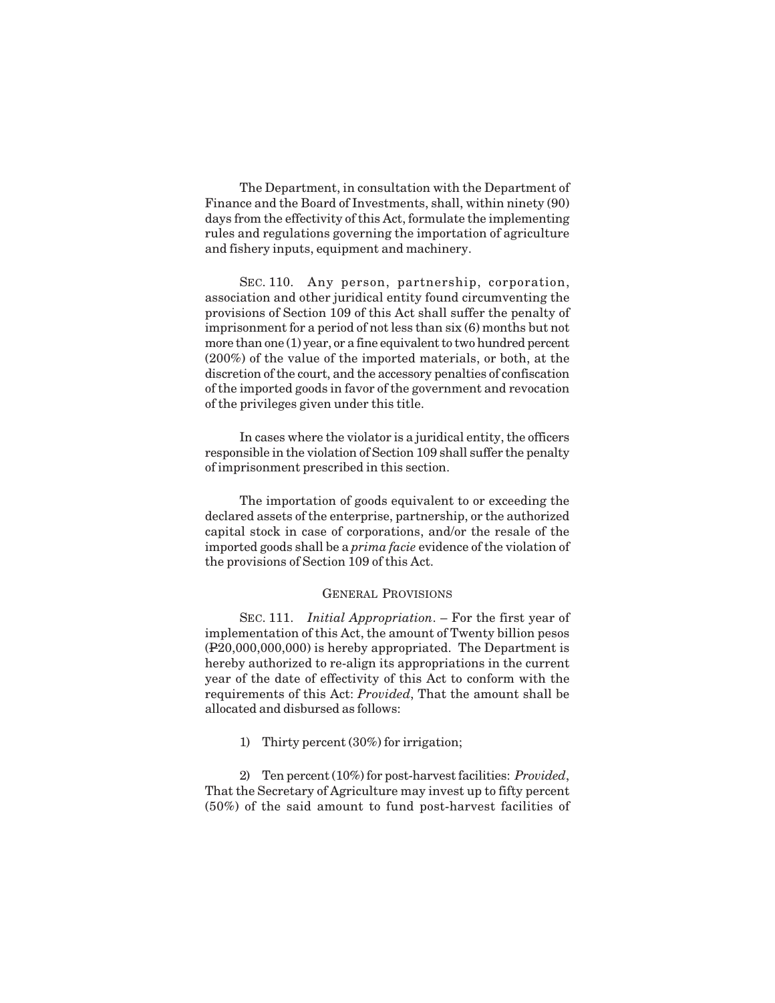The Department, in consultation with the Department of Finance and the Board of Investments, shall, within ninety (90) days from the effectivity of this Act, formulate the implementing rules and regulations governing the importation of agriculture and fishery inputs, equipment and machinery.

SEC. 110. Any person, partnership, corporation, association and other juridical entity found circumventing the provisions of Section 109 of this Act shall suffer the penalty of imprisonment for a period of not less than six (6) months but not more than one (1) year, or a fine equivalent to two hundred percent (200%) of the value of the imported materials, or both, at the discretion of the court, and the accessory penalties of confiscation of the imported goods in favor of the government and revocation of the privileges given under this title.

In cases where the violator is a juridical entity, the officers responsible in the violation of Section 109 shall suffer the penalty of imprisonment prescribed in this section.

The importation of goods equivalent to or exceeding the declared assets of the enterprise, partnership, or the authorized capital stock in case of corporations, and/or the resale of the imported goods shall be a *prima facie* evidence of the violation of the provisions of Section 109 of this Act.

#### GENERAL PROVISIONS

SEC. 111. *Initial Appropriation*. – For the first year of implementation of this Act, the amount of Twenty billion pesos (P20,000,000,000) is hereby appropriated. The Department is hereby authorized to re-align its appropriations in the current year of the date of effectivity of this Act to conform with the requirements of this Act: *Provided*, That the amount shall be allocated and disbursed as follows:

1) Thirty percent (30%) for irrigation;

2) Ten percent (10%) for post-harvest facilities: *Provided*, That the Secretary of Agriculture may invest up to fifty percent (50%) of the said amount to fund post-harvest facilities of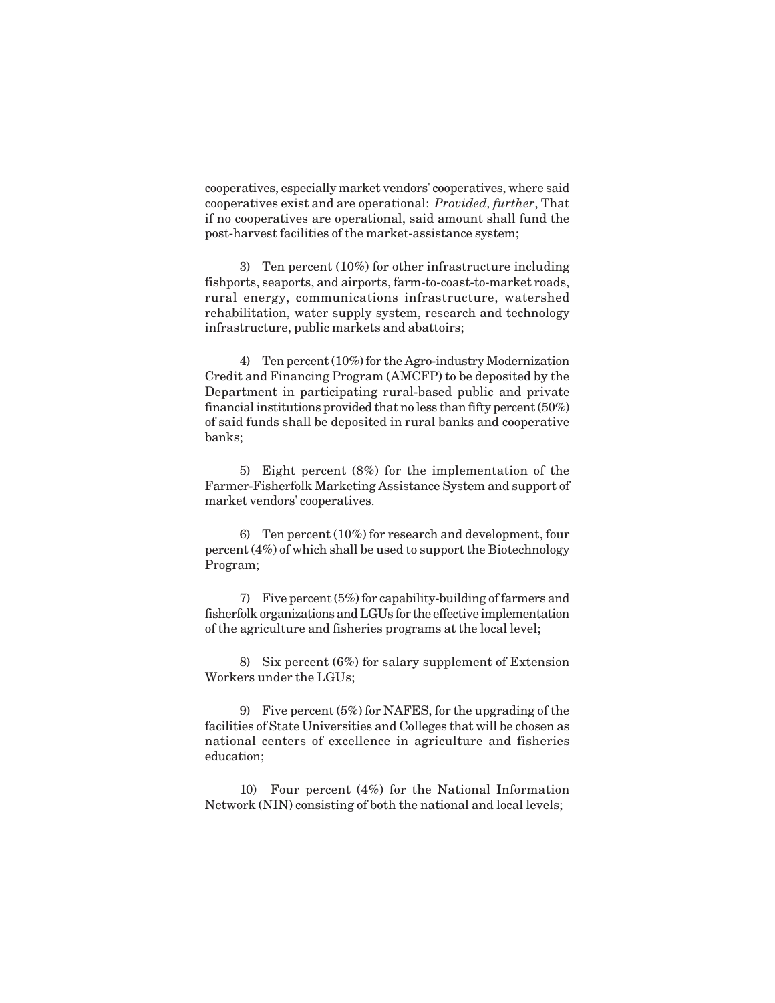cooperatives, especially market vendors' cooperatives, where said cooperatives exist and are operational: *Provided, further*, That if no cooperatives are operational, said amount shall fund the post-harvest facilities of the market-assistance system;

3) Ten percent (10%) for other infrastructure including fishports, seaports, and airports, farm-to-coast-to-market roads, rural energy, communications infrastructure, watershed rehabilitation, water supply system, research and technology infrastructure, public markets and abattoirs;

4) Ten percent (10%) for the Agro-industry Modernization Credit and Financing Program (AMCFP) to be deposited by the Department in participating rural-based public and private financial institutions provided that no less than fifty percent (50%) of said funds shall be deposited in rural banks and cooperative banks;

5) Eight percent (8%) for the implementation of the Farmer-Fisherfolk Marketing Assistance System and support of market vendors' cooperatives.

6) Ten percent (10%) for research and development, four percent (4%) of which shall be used to support the Biotechnology Program;

7) Five percent (5%) for capability-building of farmers and fisherfolk organizations and LGUs for the effective implementation of the agriculture and fisheries programs at the local level;

8) Six percent (6%) for salary supplement of Extension Workers under the LGUs;

9) Five percent (5%) for NAFES, for the upgrading of the facilities of State Universities and Colleges that will be chosen as national centers of excellence in agriculture and fisheries education;

10) Four percent (4%) for the National Information Network (NIN) consisting of both the national and local levels;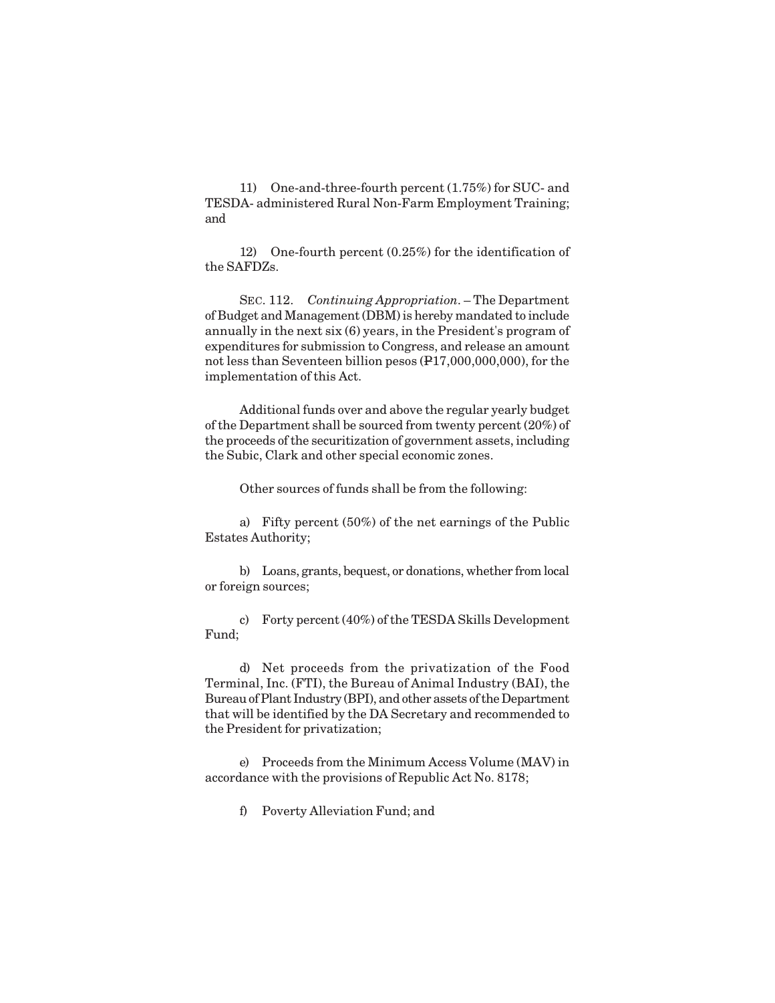11) One-and-three-fourth percent (1.75%) for SUC- and TESDA- administered Rural Non-Farm Employment Training; and

12) One-fourth percent (0.25%) for the identification of the SAFDZs.

SEC. 112. *Continuing Appropriation*. – The Department of Budget and Management (DBM) is hereby mandated to include annually in the next six (6) years, in the President's program of expenditures for submission to Congress, and release an amount not less than Seventeen billion pesos (P17,000,000,000), for the implementation of this Act.

Additional funds over and above the regular yearly budget of the Department shall be sourced from twenty percent (20%) of the proceeds of the securitization of government assets, including the Subic, Clark and other special economic zones.

Other sources of funds shall be from the following:

a) Fifty percent (50%) of the net earnings of the Public Estates Authority;

b) Loans, grants, bequest, or donations, whether from local or foreign sources;

c) Forty percent (40%) of the TESDA Skills Development Fund;

d) Net proceeds from the privatization of the Food Terminal, Inc. (FTI), the Bureau of Animal Industry (BAI), the Bureau of Plant Industry (BPI), and other assets of the Department that will be identified by the DA Secretary and recommended to the President for privatization;

e) Proceeds from the Minimum Access Volume (MAV) in accordance with the provisions of Republic Act No. 8178;

f) Poverty Alleviation Fund; and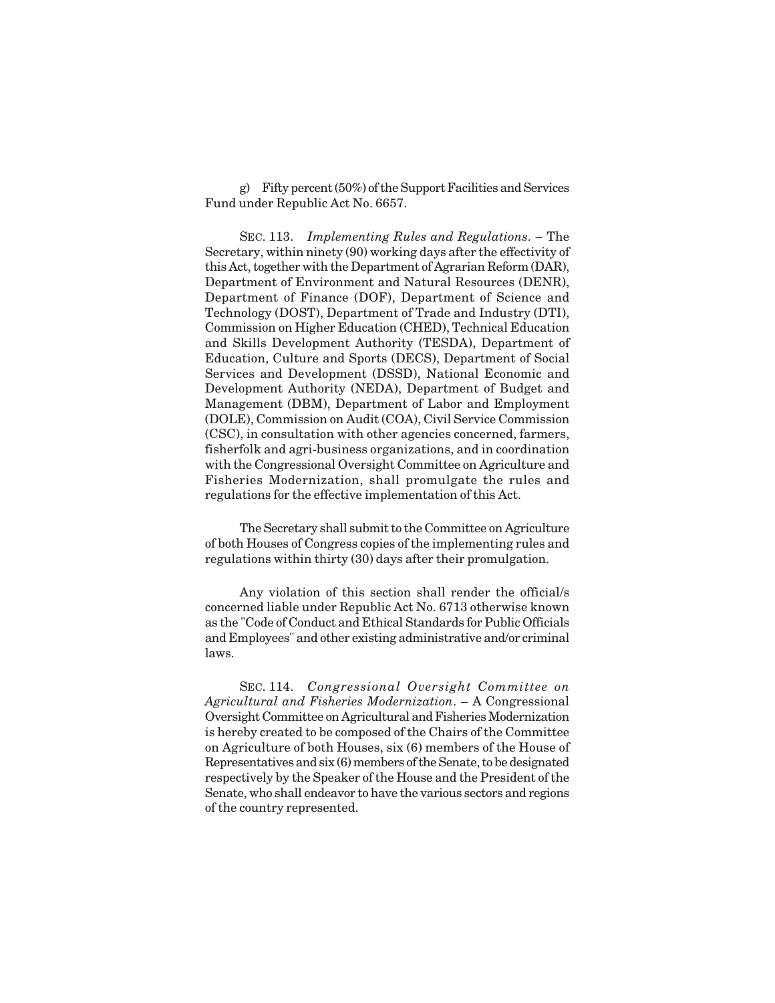g) Fifty percent (50%) of the Support Facilities and Services Fund under Republic Act No. 6657.

SEC. 113. *Implementing Rules and Regulations*. – The Secretary, within ninety (90) working days after the effectivity of this Act, together with the Department of Agrarian Reform (DAR), Department of Environment and Natural Resources (DENR), Department of Finance (DOF), Department of Science and Technology (DOST), Department of Trade and Industry (DTI), Commission on Higher Education (CHED), Technical Education and Skills Development Authority (TESDA), Department of Education, Culture and Sports (DECS), Department of Social Services and Development (DSSD), National Economic and Development Authority (NEDA), Department of Budget and Management (DBM), Department of Labor and Employment (DOLE), Commission on Audit (COA), Civil Service Commission (CSC), in consultation with other agencies concerned, farmers, fisherfolk and agri-business organizations, and in coordination with the Congressional Oversight Committee on Agriculture and Fisheries Modernization, shall promulgate the rules and regulations for the effective implementation of this Act.

The Secretary shall submit to the Committee on Agriculture of both Houses of Congress copies of the implementing rules and regulations within thirty (30) days after their promulgation.

Any violation of this section shall render the official/s concerned liable under Republic Act No. 6713 otherwise known as the "Code of Conduct and Ethical Standards for Public Officials and Employees" and other existing administrative and/or criminal laws.

SEC. 114. *Congressional Oversight Committee on Agricultural and Fisheries Modernization*. – A Congressional Oversight Committee on Agricultural and Fisheries Modernization is hereby created to be composed of the Chairs of the Committee on Agriculture of both Houses, six (6) members of the House of Representatives and six (6) members of the Senate, to be designated respectively by the Speaker of the House and the President of the Senate, who shall endeavor to have the various sectors and regions of the country represented.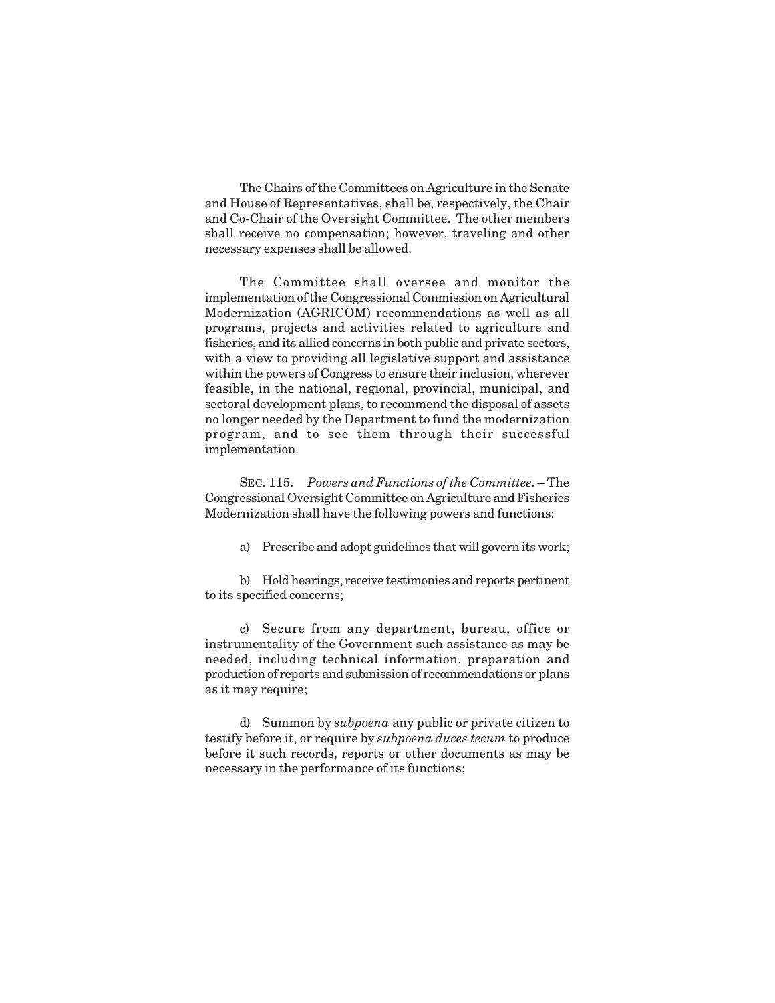The Chairs of the Committees on Agriculture in the Senate and House of Representatives, shall be, respectively, the Chair and Co-Chair of the Oversight Committee. The other members shall receive no compensation; however, traveling and other necessary expenses shall be allowed.

The Committee shall oversee and monitor the implementation of the Congressional Commission on Agricultural Modernization (AGRICOM) recommendations as well as all programs, projects and activities related to agriculture and fisheries, and its allied concerns in both public and private sectors, with a view to providing all legislative support and assistance within the powers of Congress to ensure their inclusion, wherever feasible, in the national, regional, provincial, municipal, and sectoral development plans, to recommend the disposal of assets no longer needed by the Department to fund the modernization program, and to see them through their successful implementation.

SEC. 115. *Powers and Functions of the Committee*. – The Congressional Oversight Committee on Agriculture and Fisheries Modernization shall have the following powers and functions:

a) Prescribe and adopt guidelines that will govern its work;

b) Hold hearings, receive testimonies and reports pertinent to its specified concerns;

c) Secure from any department, bureau, office or instrumentality of the Government such assistance as may be needed, including technical information, preparation and production of reports and submission of recommendations or plans as it may require;

d) Summon by *subpoena* any public or private citizen to testify before it, or require by *subpoena duces tecum* to produce before it such records, reports or other documents as may be necessary in the performance of its functions;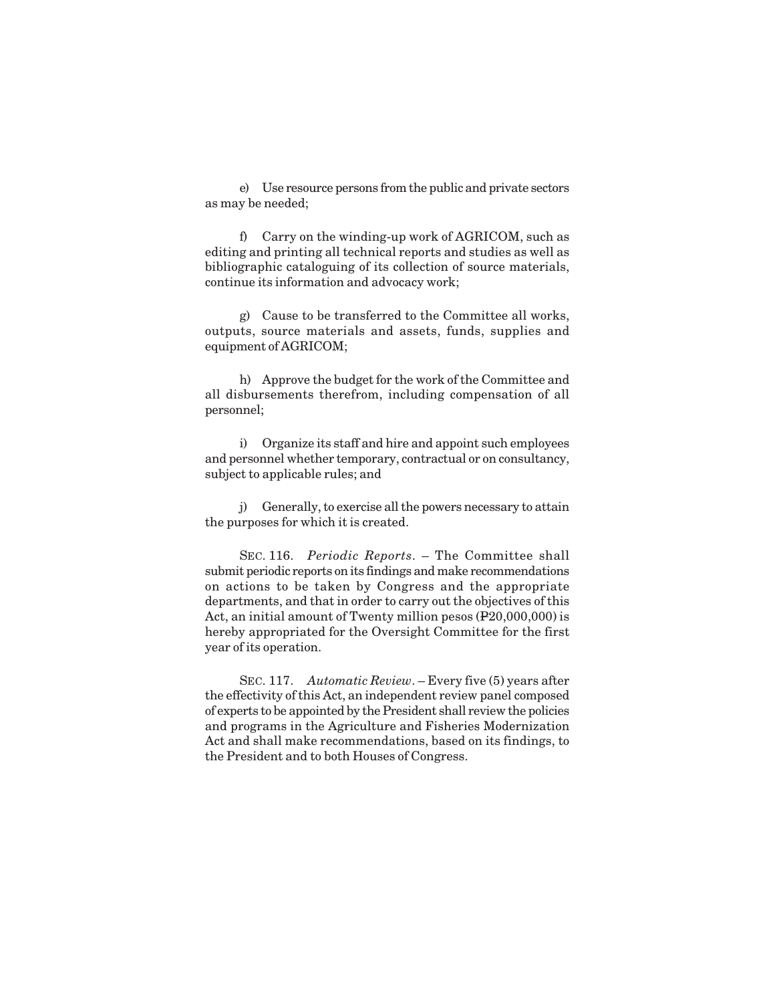e) Use resource persons from the public and private sectors as may be needed;

f) Carry on the winding-up work of AGRICOM, such as editing and printing all technical reports and studies as well as bibliographic cataloguing of its collection of source materials, continue its information and advocacy work;

g) Cause to be transferred to the Committee all works, outputs, source materials and assets, funds, supplies and equipment of AGRICOM;

h) Approve the budget for the work of the Committee and all disbursements therefrom, including compensation of all personnel;

i) Organize its staff and hire and appoint such employees and personnel whether temporary, contractual or on consultancy, subject to applicable rules; and

j) Generally, to exercise all the powers necessary to attain the purposes for which it is created.

SEC. 116. *Periodic Reports*. – The Committee shall submit periodic reports on its findings and make recommendations on actions to be taken by Congress and the appropriate departments, and that in order to carry out the objectives of this Act, an initial amount of Twenty million pesos (P20,000,000) is hereby appropriated for the Oversight Committee for the first year of its operation.

SEC. 117. *Automatic Review*. – Every five (5) years after the effectivity of this Act, an independent review panel composed of experts to be appointed by the President shall review the policies and programs in the Agriculture and Fisheries Modernization Act and shall make recommendations, based on its findings, to the President and to both Houses of Congress.